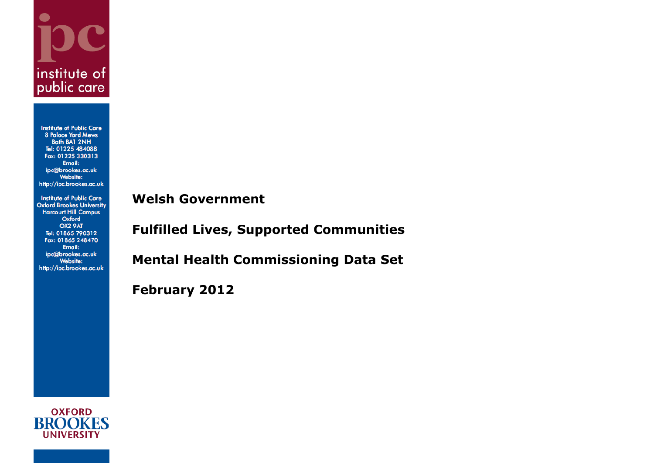

**Institute of Public Care 8 Palace Yard Mews** Bath BA1 2NH Tel: 01225 484088 Fax: 01225 330313 Email: ipc@brookes.ac.uk **Website:** http://ipc.brookes.ac.uk

**Institute of Public Care Oxford Brookes University Harcourt Hill Campus** Oxford OX2 9AT Tel: 01865 790312 Fax: 01865 248470 Email: ipc@brookes.ac.uk Website: http://ipc.brookes.ac.uk

**Welsh Government**

**Fulfilled Lives, Supported Communities**

**Mental Health Commissioning Data Set**

**February 2012**

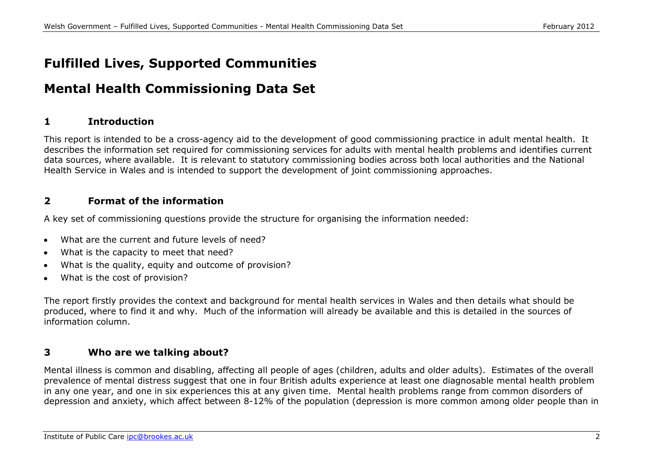# **Fulfilled Lives, Supported Communities**

# **Mental Health Commissioning Data Set**

## **1 Introduction**

This report is intended to be a cross-agency aid to the development of good commissioning practice in adult mental health. It describes the information set required for commissioning services for adults with mental health problems and identifies current data sources, where available. It is relevant to statutory commissioning bodies across both local authorities and the National Health Service in Wales and is intended to support the development of joint commissioning approaches.

# **2 Format of the information**

A key set of commissioning questions provide the structure for organising the information needed:

- What are the current and future levels of need?  $\bullet$
- What is the capacity to meet that need?  $\bullet$
- What is the quality, equity and outcome of provision?  $\bullet$
- What is the cost of provision?  $\bullet$

The report firstly provides the context and background for mental health services in Wales and then details what should be produced, where to find it and why. Much of the information will already be available and this is detailed in the sources of information column.

## **3 Who are we talking about?**

Mental illness is common and disabling, affecting all people of ages (children, adults and older adults). Estimates of the overall prevalence of mental distress suggest that one in four British adults experience at least one diagnosable mental health problem in any one year, and one in six experiences this at any given time. Mental health problems range from common disorders of depression and anxiety, which affect between 8-12% of the population (depression is more common among older people than in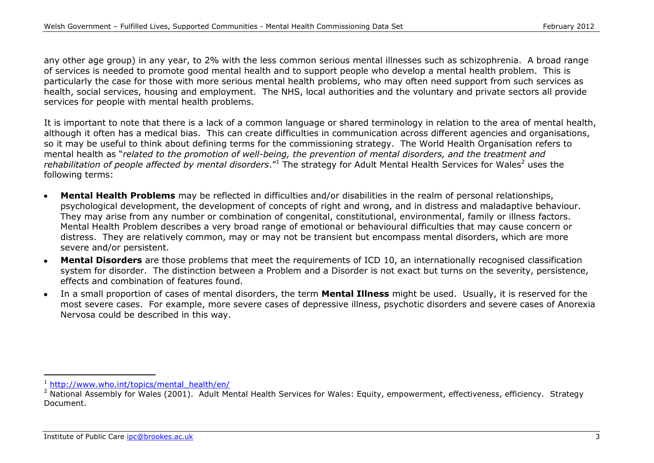any other age group) in any year, to 2% with the less common serious mental illnesses such as schizophrenia. A broad range of services is needed to promote good mental health and to support people who develop a mental health problem. This is particularly the case for those with more serious mental health problems, who may often need support from such services as health, social services, housing and employment. The NHS, local authorities and the voluntary and private sectors all provide services for people with mental health problems.

It is important to note that there is a lack of a common language or shared terminology in relation to the area of mental health, although it often has a medical bias. This can create difficulties in communication across different agencies and organisations, so it may be useful to think about defining terms for the commissioning strategy. The World Health Organisation refers to mental health as "*related to the promotion of well-being, the prevention of mental disorders, and the treatment and rehabilitation of people affected by mental disorders*.<sup>"1</sup> The strategy for Adult Mental Health Services for Wales<sup>2</sup> uses the following terms:

- **Mental Health Problems** may be reflected in difficulties and/or disabilities in the realm of personal relationships, psychological development, the development of concepts of right and wrong, and in distress and maladaptive behaviour. They may arise from any number or combination of congenital, constitutional, environmental, family or illness factors. Mental Health Problem describes a very broad range of emotional or behavioural difficulties that may cause concern or distress. They are relatively common, may or may not be transient but encompass mental disorders, which are more severe and/or persistent.
- **Mental Disorders** are those problems that meet the requirements of ICD 10, an internationally recognised classification system for disorder. The distinction between a Problem and a Disorder is not exact but turns on the severity, persistence, effects and combination of features found.
- In a small proportion of cases of mental disorders, the term **Mental Illness** might be used. Usually, it is reserved for the  $\bullet$ most severe cases. For example, more severe cases of depressive illness, psychotic disorders and severe cases of Anorexia Nervosa could be described in this way.

<sup>1</sup> [http://www.who.int/topics/mental\\_health/en/](http://www.who.int/topics/mental_health/en/)

<sup>&</sup>lt;sup>2</sup> National Assembly for Wales (2001). Adult Mental Health Services for Wales: Equity, empowerment, effectiveness, efficiency. Strategy Document.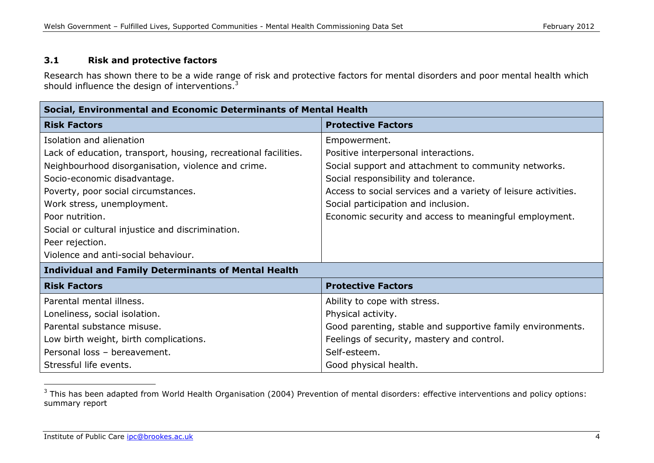### **3.1 Risk and protective factors**

Research has shown there to be a wide range of risk and protective factors for mental disorders and poor mental health which should influence the design of interventions.<sup>3</sup>

| Social, Environmental and Economic Determinants of Mental Health |                                                                |  |
|------------------------------------------------------------------|----------------------------------------------------------------|--|
| <b>Risk Factors</b>                                              | <b>Protective Factors</b>                                      |  |
| Isolation and alienation                                         | Empowerment.                                                   |  |
| Lack of education, transport, housing, recreational facilities.  | Positive interpersonal interactions.                           |  |
| Neighbourhood disorganisation, violence and crime.               | Social support and attachment to community networks.           |  |
| Socio-economic disadvantage.                                     | Social responsibility and tolerance.                           |  |
| Poverty, poor social circumstances.                              | Access to social services and a variety of leisure activities. |  |
| Work stress, unemployment.                                       | Social participation and inclusion.                            |  |
| Poor nutrition.                                                  | Economic security and access to meaningful employment.         |  |
| Social or cultural injustice and discrimination.                 |                                                                |  |
| Peer rejection.                                                  |                                                                |  |
| Violence and anti-social behaviour.                              |                                                                |  |
| <b>Individual and Family Determinants of Mental Health</b>       |                                                                |  |
| <b>Risk Factors</b>                                              | <b>Protective Factors</b>                                      |  |
| Parental mental illness.                                         | Ability to cope with stress.                                   |  |
| Loneliness, social isolation.                                    | Physical activity.                                             |  |
| Parental substance misuse.                                       | Good parenting, stable and supportive family environments.     |  |
| Low birth weight, birth complications.                           | Feelings of security, mastery and control.                     |  |
| Personal loss - bereavement.                                     | Self-esteem.                                                   |  |
| Stressful life events.                                           | Good physical health.                                          |  |

 $3$  This has been adapted from World Health Organisation (2004) Prevention of mental disorders: effective interventions and policy options: summary report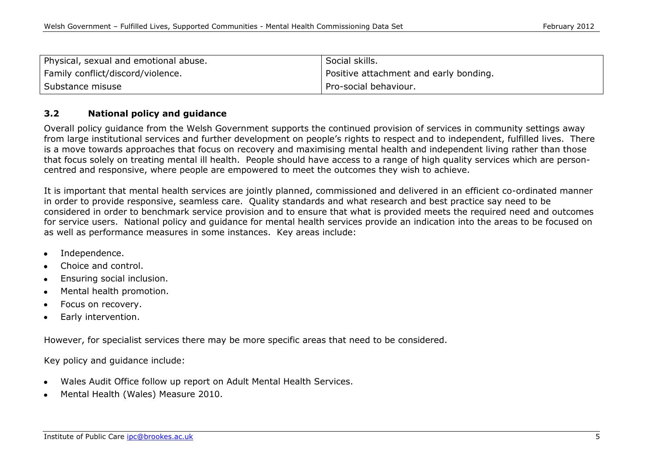| Physical, sexual and emotional abuse. | Social skills.                           |
|---------------------------------------|------------------------------------------|
| Family conflict/discord/violence.     | I Positive attachment and early bonding. |
| Substance misuse                      | Pro-social behaviour.                    |

#### **3.2 National policy and guidance**

Overall policy guidance from the Welsh Government supports the continued provision of services in community settings away from large institutional services and further development on people's rights to respect and to independent, fulfilled lives. There is a move towards approaches that focus on recovery and maximising mental health and independent living rather than those that focus solely on treating mental ill health. People should have access to a range of high quality services which are personcentred and responsive, where people are empowered to meet the outcomes they wish to achieve.

It is important that mental health services are jointly planned, commissioned and delivered in an efficient co-ordinated manner in order to provide responsive, seamless care. Quality standards and what research and best practice say need to be considered in order to benchmark service provision and to ensure that what is provided meets the required need and outcomes for service users. National policy and guidance for mental health services provide an indication into the areas to be focused on as well as performance measures in some instances. Key areas include:

- Independence.
- Choice and control.
- Ensuring social inclusion.
- Mental health promotion.
- Focus on recovery.
- Early intervention.

However, for specialist services there may be more specific areas that need to be considered.

Key policy and guidance include:

- Wales Audit Office follow up report on Adult Mental Health Services.
- Mental Health (Wales) Measure 2010.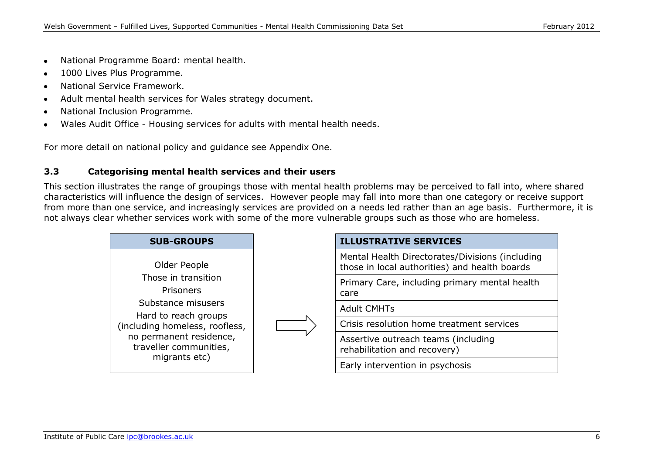- National Programme Board: mental health.  $\bullet$
- 1000 Lives Plus Programme.
- National Service Framework.
- Adult mental health services for Wales strategy document.  $\bullet$
- National Inclusion Programme.
- Wales Audit Office Housing services for adults with mental health needs.

For more detail on national policy and guidance see Appendix One.

## **3.3 Categorising mental health services and their users**

This section illustrates the range of groupings those with mental health problems may be perceived to fall into, where shared characteristics will influence the design of services. However people may fall into more than one category or receive support from more than one service, and increasingly services are provided on a needs led rather than an age basis. Furthermore, it is not always clear whether services work with some of the more vulnerable groups such as those who are homeless.

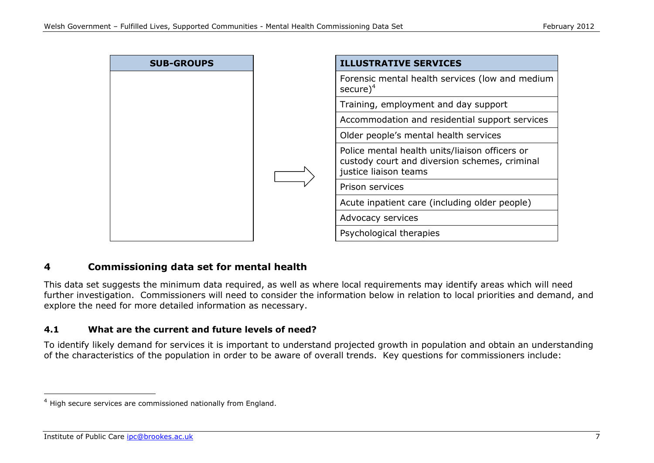

# **4 Commissioning data set for mental health**

This data set suggests the minimum data required, as well as where local requirements may identify areas which will need further investigation. Commissioners will need to consider the information below in relation to local priorities and demand, and explore the need for more detailed information as necessary.

#### **4.1 What are the current and future levels of need?**

To identify likely demand for services it is important to understand projected growth in population and obtain an understanding of the characteristics of the population in order to be aware of overall trends. Key questions for commissioners include:

<sup>4</sup> High secure services are commissioned nationally from England.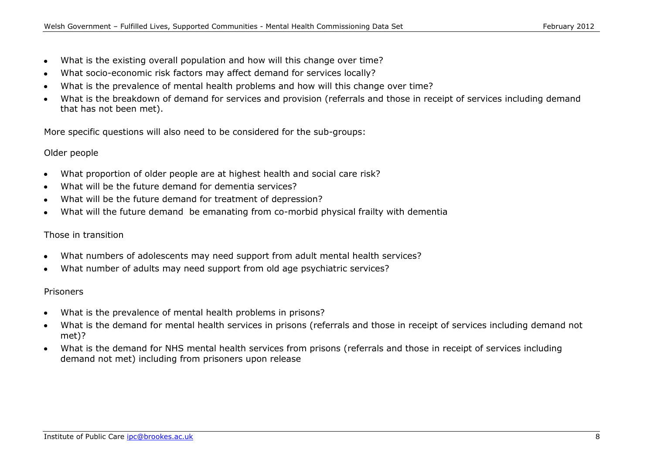- What is the existing overall population and how will this change over time?  $\bullet$
- What socio-economic risk factors may affect demand for services locally?  $\bullet$
- What is the prevalence of mental health problems and how will this change over time?  $\bullet$
- What is the breakdown of demand for services and provision (referrals and those in receipt of services including demand that has not been met).

More specific questions will also need to be considered for the sub-groups:

### Older people

- What proportion of older people are at highest health and social care risk?
- What will be the future demand for dementia services?
- What will be the future demand for treatment of depression?  $\bullet$
- What will the future demand be emanating from co-morbid physical frailty with dementia

## Those in transition

- What numbers of adolescents may need support from adult mental health services?
- What number of adults may need support from old age psychiatric services?

## Prisoners

- What is the prevalence of mental health problems in prisons?  $\bullet$
- What is the demand for mental health services in prisons (referrals and those in receipt of services including demand not met)?
- What is the demand for NHS mental health services from prisons (referrals and those in receipt of services including  $\bullet$ demand not met) including from prisoners upon release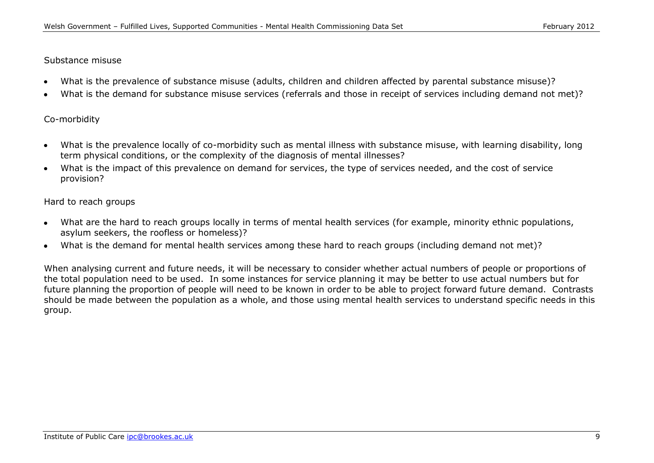#### Substance misuse

- What is the prevalence of substance misuse (adults, children and children affected by parental substance misuse)?
- What is the demand for substance misuse services (referrals and those in receipt of services including demand not met)?

#### Co-morbidity

- What is the prevalence locally of co-morbidity such as mental illness with substance misuse, with learning disability, long  $\bullet$ term physical conditions, or the complexity of the diagnosis of mental illnesses?
- What is the impact of this prevalence on demand for services, the type of services needed, and the cost of service provision?

#### Hard to reach groups

- What are the hard to reach groups locally in terms of mental health services (for example, minority ethnic populations,  $\bullet$ asylum seekers, the roofless or homeless)?
- What is the demand for mental health services among these hard to reach groups (including demand not met)?

When analysing current and future needs, it will be necessary to consider whether actual numbers of people or proportions of the total population need to be used. In some instances for service planning it may be better to use actual numbers but for future planning the proportion of people will need to be known in order to be able to project forward future demand. Contrasts should be made between the population as a whole, and those using mental health services to understand specific needs in this group.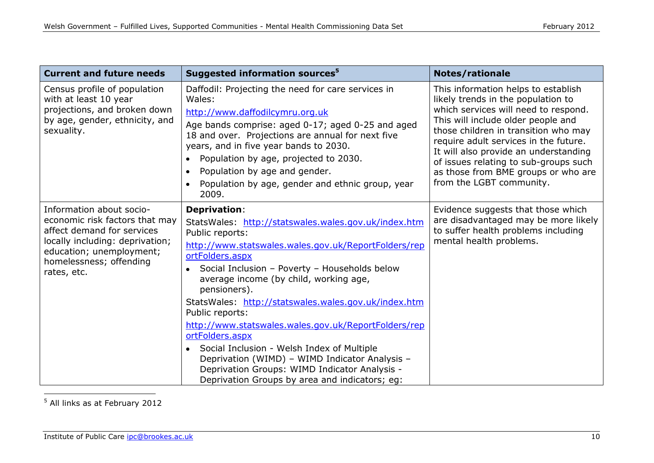| <b>Current and future needs</b>                                                                                                                                                                   | Suggested information sources <sup>5</sup>                                                                                                                                                                                                                                                                                                                                                                                                                                                                                                                                                                                                                   | <b>Notes/rationale</b>                                                                                                                                                                                                                                                                                                                                                                        |
|---------------------------------------------------------------------------------------------------------------------------------------------------------------------------------------------------|--------------------------------------------------------------------------------------------------------------------------------------------------------------------------------------------------------------------------------------------------------------------------------------------------------------------------------------------------------------------------------------------------------------------------------------------------------------------------------------------------------------------------------------------------------------------------------------------------------------------------------------------------------------|-----------------------------------------------------------------------------------------------------------------------------------------------------------------------------------------------------------------------------------------------------------------------------------------------------------------------------------------------------------------------------------------------|
| Census profile of population<br>with at least 10 year<br>projections, and broken down<br>by age, gender, ethnicity, and<br>sexuality.                                                             | Daffodil: Projecting the need for care services in<br>Wales:<br>http://www.daffodilcymru.org.uk<br>Age bands comprise: aged 0-17; aged 0-25 and aged<br>18 and over. Projections are annual for next five<br>years, and in five year bands to 2030.<br>Population by age, projected to 2030.<br>Population by age and gender.<br>$\bullet$<br>Population by age, gender and ethnic group, year<br>2009.                                                                                                                                                                                                                                                      | This information helps to establish<br>likely trends in the population to<br>which services will need to respond.<br>This will include older people and<br>those children in transition who may<br>require adult services in the future.<br>It will also provide an understanding<br>of issues relating to sub-groups such<br>as those from BME groups or who are<br>from the LGBT community. |
| Information about socio-<br>economic risk factors that may<br>affect demand for services<br>locally including: deprivation;<br>education; unemployment;<br>homelessness; offending<br>rates, etc. | <b>Deprivation:</b><br>StatsWales: http://statswales.wales.gov.uk/index.htm<br>Public reports:<br>http://www.statswales.wales.gov.uk/ReportFolders/rep<br>ortFolders.aspx<br>Social Inclusion - Poverty - Households below<br>$\bullet$<br>average income (by child, working age,<br>pensioners).<br>StatsWales: http://statswales.wales.gov.uk/index.htm<br>Public reports:<br>http://www.statswales.wales.gov.uk/ReportFolders/rep<br>ortFolders.aspx<br>• Social Inclusion - Welsh Index of Multiple<br>Deprivation (WIMD) - WIMD Indicator Analysis -<br>Deprivation Groups: WIMD Indicator Analysis -<br>Deprivation Groups by area and indicators; eg: | Evidence suggests that those which<br>are disadvantaged may be more likely<br>to suffer health problems including<br>mental health problems.                                                                                                                                                                                                                                                  |

<sup>5</sup> All links as at February 2012

-

 $\overline{\phantom{a}}$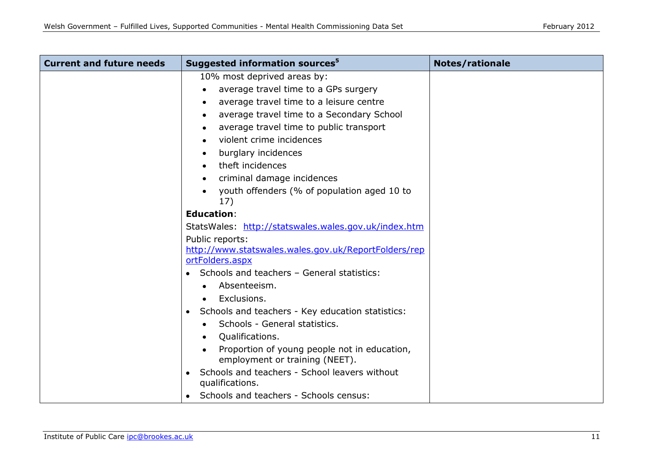| <b>Current and future needs</b> | Suggested information sources <sup>5</sup>                              | <b>Notes/rationale</b> |
|---------------------------------|-------------------------------------------------------------------------|------------------------|
|                                 | 10% most deprived areas by:                                             |                        |
|                                 | average travel time to a GPs surgery                                    |                        |
|                                 | average travel time to a leisure centre                                 |                        |
|                                 | average travel time to a Secondary School<br>$\bullet$                  |                        |
|                                 | average travel time to public transport                                 |                        |
|                                 | violent crime incidences                                                |                        |
|                                 | burglary incidences                                                     |                        |
|                                 | theft incidences                                                        |                        |
|                                 | criminal damage incidences                                              |                        |
|                                 | youth offenders (% of population aged 10 to<br>17)                      |                        |
|                                 | <b>Education:</b>                                                       |                        |
|                                 | StatsWales: http://statswales.wales.gov.uk/index.htm                    |                        |
|                                 | Public reports:                                                         |                        |
|                                 | http://www.statswales.wales.gov.uk/ReportFolders/rep<br>ortFolders.aspx |                        |
|                                 | Schools and teachers - General statistics:                              |                        |
|                                 | Absenteeism.                                                            |                        |
|                                 | Exclusions.                                                             |                        |
|                                 | Schools and teachers - Key education statistics:<br>$\bullet$           |                        |
|                                 | Schools - General statistics.                                           |                        |
|                                 | Qualifications.                                                         |                        |
|                                 | Proportion of young people not in education,                            |                        |
|                                 | employment or training (NEET).                                          |                        |
|                                 | Schools and teachers - School leavers without<br>qualifications.        |                        |
|                                 | Schools and teachers - Schools census:                                  |                        |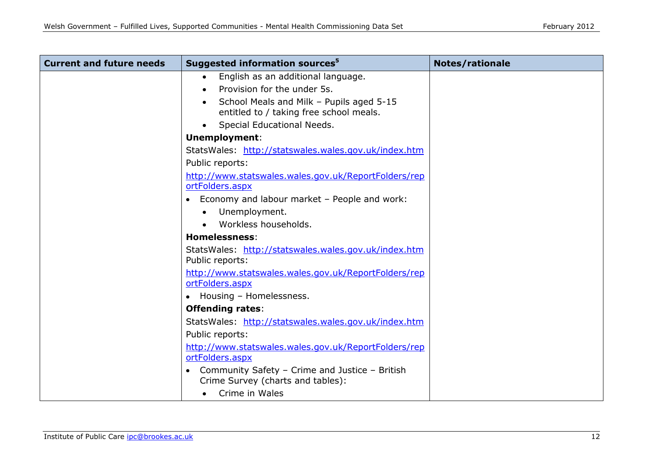| <b>Current and future needs</b> | Suggested information sources <sup>5</sup>                                          | <b>Notes/rationale</b> |
|---------------------------------|-------------------------------------------------------------------------------------|------------------------|
|                                 | English as an additional language.<br>$\bullet$                                     |                        |
|                                 | Provision for the under 5s.                                                         |                        |
|                                 | School Meals and Milk - Pupils aged 5-15<br>entitled to / taking free school meals. |                        |
|                                 | Special Educational Needs.                                                          |                        |
|                                 | <b>Unemployment:</b>                                                                |                        |
|                                 | StatsWales: http://statswales.wales.gov.uk/index.htm                                |                        |
|                                 | Public reports:                                                                     |                        |
|                                 | http://www.statswales.wales.gov.uk/ReportFolders/rep                                |                        |
|                                 | ortFolders.aspx                                                                     |                        |
|                                 | Economy and labour market - People and work:                                        |                        |
|                                 | Unemployment.<br>$\bullet$                                                          |                        |
|                                 | Workless households.                                                                |                        |
|                                 | <b>Homelessness:</b>                                                                |                        |
|                                 | StatsWales: http://statswales.wales.gov.uk/index.htm<br>Public reports:             |                        |
|                                 | http://www.statswales.wales.gov.uk/ReportFolders/rep<br>ortFolders.aspx             |                        |
|                                 | • Housing - Homelessness.                                                           |                        |
|                                 | <b>Offending rates:</b>                                                             |                        |
|                                 | StatsWales: http://statswales.wales.gov.uk/index.htm                                |                        |
|                                 | Public reports:                                                                     |                        |
|                                 | http://www.statswales.wales.gov.uk/ReportFolders/rep                                |                        |
|                                 | ortFolders.aspx                                                                     |                        |
|                                 | Community Safety - Crime and Justice - British                                      |                        |
|                                 | Crime Survey (charts and tables):                                                   |                        |
|                                 | Crime in Wales                                                                      |                        |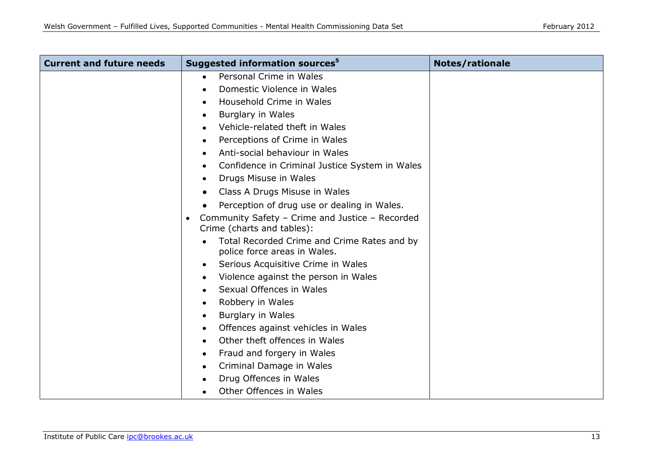| <b>Current and future needs</b> | Suggested information sources <sup>5</sup>                                    | <b>Notes/rationale</b> |
|---------------------------------|-------------------------------------------------------------------------------|------------------------|
|                                 | Personal Crime in Wales<br>$\bullet$                                          |                        |
|                                 | Domestic Violence in Wales                                                    |                        |
|                                 | Household Crime in Wales                                                      |                        |
|                                 | <b>Burglary in Wales</b><br>٠                                                 |                        |
|                                 | Vehicle-related theft in Wales                                                |                        |
|                                 | Perceptions of Crime in Wales                                                 |                        |
|                                 | Anti-social behaviour in Wales                                                |                        |
|                                 | Confidence in Criminal Justice System in Wales                                |                        |
|                                 | Drugs Misuse in Wales<br>$\bullet$                                            |                        |
|                                 | Class A Drugs Misuse in Wales                                                 |                        |
|                                 | Perception of drug use or dealing in Wales.                                   |                        |
|                                 | Community Safety - Crime and Justice - Recorded<br>Crime (charts and tables): |                        |
|                                 | Total Recorded Crime and Crime Rates and by<br>police force areas in Wales.   |                        |
|                                 | Serious Acquisitive Crime in Wales<br>٠                                       |                        |
|                                 | Violence against the person in Wales                                          |                        |
|                                 | Sexual Offences in Wales                                                      |                        |
|                                 | Robbery in Wales<br>٠                                                         |                        |
|                                 | <b>Burglary in Wales</b><br>٠                                                 |                        |
|                                 | Offences against vehicles in Wales<br>٠                                       |                        |
|                                 | Other theft offences in Wales<br>$\bullet$                                    |                        |
|                                 | Fraud and forgery in Wales<br>٠                                               |                        |
|                                 | Criminal Damage in Wales                                                      |                        |
|                                 | Drug Offences in Wales                                                        |                        |
|                                 | Other Offences in Wales                                                       |                        |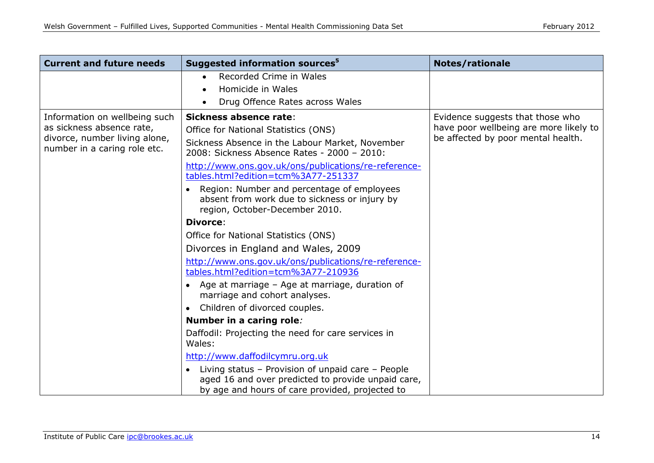| <b>Current and future needs</b>                                                                                             | Suggested information sources <sup>5</sup>                                                                                                                                                                                                                                                                                                                                                                                                                                                                                                                                                                                                                                                                                                                                                                             | <b>Notes/rationale</b>                                                                                           |
|-----------------------------------------------------------------------------------------------------------------------------|------------------------------------------------------------------------------------------------------------------------------------------------------------------------------------------------------------------------------------------------------------------------------------------------------------------------------------------------------------------------------------------------------------------------------------------------------------------------------------------------------------------------------------------------------------------------------------------------------------------------------------------------------------------------------------------------------------------------------------------------------------------------------------------------------------------------|------------------------------------------------------------------------------------------------------------------|
|                                                                                                                             | Recorded Crime in Wales                                                                                                                                                                                                                                                                                                                                                                                                                                                                                                                                                                                                                                                                                                                                                                                                |                                                                                                                  |
|                                                                                                                             | Homicide in Wales                                                                                                                                                                                                                                                                                                                                                                                                                                                                                                                                                                                                                                                                                                                                                                                                      |                                                                                                                  |
|                                                                                                                             | Drug Offence Rates across Wales                                                                                                                                                                                                                                                                                                                                                                                                                                                                                                                                                                                                                                                                                                                                                                                        |                                                                                                                  |
| Information on wellbeing such<br>as sickness absence rate,<br>divorce, number living alone,<br>number in a caring role etc. | Sickness absence rate:<br>Office for National Statistics (ONS)<br>Sickness Absence in the Labour Market, November<br>2008: Sickness Absence Rates - 2000 - 2010:<br>http://www.ons.gov.uk/ons/publications/re-reference-<br>tables.html?edition=tcm%3A77-251337<br>Region: Number and percentage of employees<br>absent from work due to sickness or injury by<br>region, October-December 2010.<br><b>Divorce:</b><br>Office for National Statistics (ONS)<br>Divorces in England and Wales, 2009<br>http://www.ons.gov.uk/ons/publications/re-reference-<br>tables.html?edition=tcm%3A77-210936<br>• Age at marriage – Age at marriage, duration of<br>marriage and cohort analyses.<br>Children of divorced couples.<br>$\bullet$<br>Number in a caring role:<br>Daffodil: Projecting the need for care services in | Evidence suggests that those who<br>have poor wellbeing are more likely to<br>be affected by poor mental health. |
|                                                                                                                             | Wales:<br>http://www.daffodilcymru.org.uk                                                                                                                                                                                                                                                                                                                                                                                                                                                                                                                                                                                                                                                                                                                                                                              |                                                                                                                  |
|                                                                                                                             | Living status - Provision of unpaid care - People                                                                                                                                                                                                                                                                                                                                                                                                                                                                                                                                                                                                                                                                                                                                                                      |                                                                                                                  |
|                                                                                                                             | aged 16 and over predicted to provide unpaid care,                                                                                                                                                                                                                                                                                                                                                                                                                                                                                                                                                                                                                                                                                                                                                                     |                                                                                                                  |
|                                                                                                                             | by age and hours of care provided, projected to                                                                                                                                                                                                                                                                                                                                                                                                                                                                                                                                                                                                                                                                                                                                                                        |                                                                                                                  |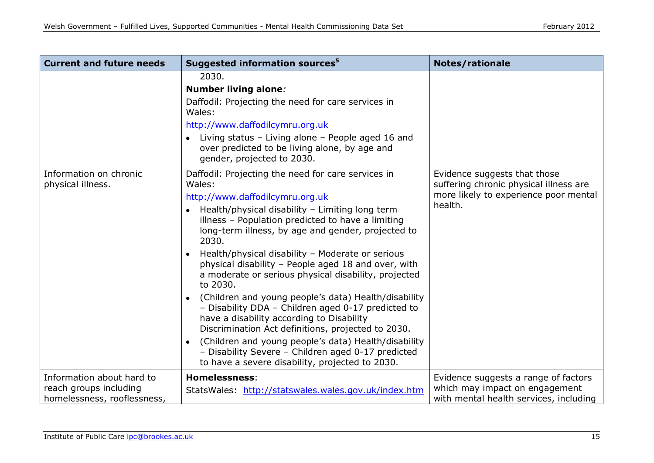| <b>Current and future needs</b>                                                    | Suggested information sources <sup>5</sup>                                                                                                                                                                                                                                                                                                                                                                                                                                                                                                                                                                                                                                                                                                                                                                                                                        | <b>Notes/rationale</b>                                                                                                     |
|------------------------------------------------------------------------------------|-------------------------------------------------------------------------------------------------------------------------------------------------------------------------------------------------------------------------------------------------------------------------------------------------------------------------------------------------------------------------------------------------------------------------------------------------------------------------------------------------------------------------------------------------------------------------------------------------------------------------------------------------------------------------------------------------------------------------------------------------------------------------------------------------------------------------------------------------------------------|----------------------------------------------------------------------------------------------------------------------------|
|                                                                                    | 2030.<br><b>Number living alone:</b><br>Daffodil: Projecting the need for care services in<br>Wales:<br>http://www.daffodilcymru.org.uk<br>Living status - Living alone - People aged 16 and<br>$\bullet$<br>over predicted to be living alone, by age and<br>gender, projected to 2030.                                                                                                                                                                                                                                                                                                                                                                                                                                                                                                                                                                          |                                                                                                                            |
| Information on chronic<br>physical illness.                                        | Daffodil: Projecting the need for care services in<br>Wales:<br>http://www.daffodilcymru.org.uk<br>Health/physical disability - Limiting long term<br>illness - Population predicted to have a limiting<br>long-term illness, by age and gender, projected to<br>2030.<br>Health/physical disability - Moderate or serious<br>$\bullet$<br>physical disability - People aged 18 and over, with<br>a moderate or serious physical disability, projected<br>to 2030.<br>(Children and young people's data) Health/disability<br>- Disability DDA - Children aged 0-17 predicted to<br>have a disability according to Disability<br>Discrimination Act definitions, projected to 2030.<br>(Children and young people's data) Health/disability<br>$\bullet$<br>- Disability Severe - Children aged 0-17 predicted<br>to have a severe disability, projected to 2030. | Evidence suggests that those<br>suffering chronic physical illness are<br>more likely to experience poor mental<br>health. |
| Information about hard to<br>reach groups including<br>homelessness, rooflessness, | <b>Homelessness:</b><br>StatsWales: http://statswales.wales.gov.uk/index.htm                                                                                                                                                                                                                                                                                                                                                                                                                                                                                                                                                                                                                                                                                                                                                                                      | Evidence suggests a range of factors<br>which may impact on engagement<br>with mental health services, including           |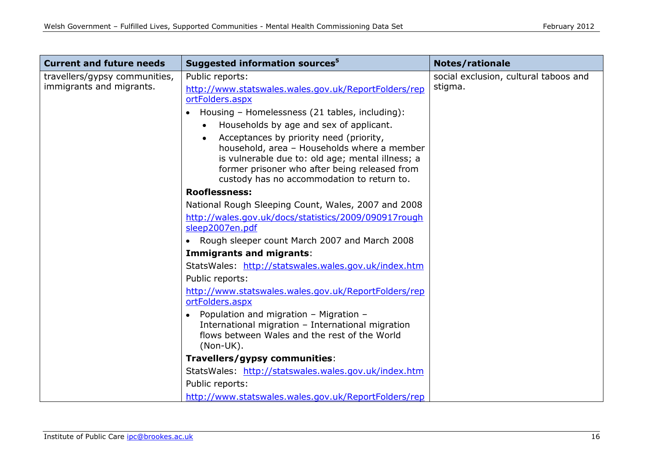| <b>Current and future needs</b>                           | Suggested information sources <sup>5</sup>                                                                                                                                                                                                                                                                                                                                                                               | <b>Notes/rationale</b>                           |
|-----------------------------------------------------------|--------------------------------------------------------------------------------------------------------------------------------------------------------------------------------------------------------------------------------------------------------------------------------------------------------------------------------------------------------------------------------------------------------------------------|--------------------------------------------------|
| travellers/gypsy communities,<br>immigrants and migrants. | Public reports:<br>http://www.statswales.wales.gov.uk/ReportFolders/rep<br>ortFolders.aspx<br>Housing - Homelessness (21 tables, including):<br>$\bullet$<br>Households by age and sex of applicant.<br>Acceptances by priority need (priority,<br>household, area - Households where a member<br>is vulnerable due to: old age; mental illness; a<br>former prisoner who after being released from                      | social exclusion, cultural taboos and<br>stigma. |
|                                                           | custody has no accommodation to return to.<br><b>Rooflessness:</b>                                                                                                                                                                                                                                                                                                                                                       |                                                  |
|                                                           | National Rough Sleeping Count, Wales, 2007 and 2008<br>http://wales.gov.uk/docs/statistics/2009/090917rough<br>sleep2007en.pdf<br>Rough sleeper count March 2007 and March 2008<br>Immigrants and migrants:<br>StatsWales: http://statswales.wales.gov.uk/index.htm<br>Public reports:<br>http://www.statswales.wales.gov.uk/ReportFolders/rep<br>ortFolders.aspx<br>Population and migration - Migration -<br>$\bullet$ |                                                  |
|                                                           | International migration - International migration<br>flows between Wales and the rest of the World<br>$(Non-UK).$<br>Travellers/gypsy communities:                                                                                                                                                                                                                                                                       |                                                  |
|                                                           | StatsWales: http://statswales.wales.gov.uk/index.htm                                                                                                                                                                                                                                                                                                                                                                     |                                                  |
|                                                           | Public reports:                                                                                                                                                                                                                                                                                                                                                                                                          |                                                  |
|                                                           | http://www.statswales.wales.gov.uk/ReportFolders/rep                                                                                                                                                                                                                                                                                                                                                                     |                                                  |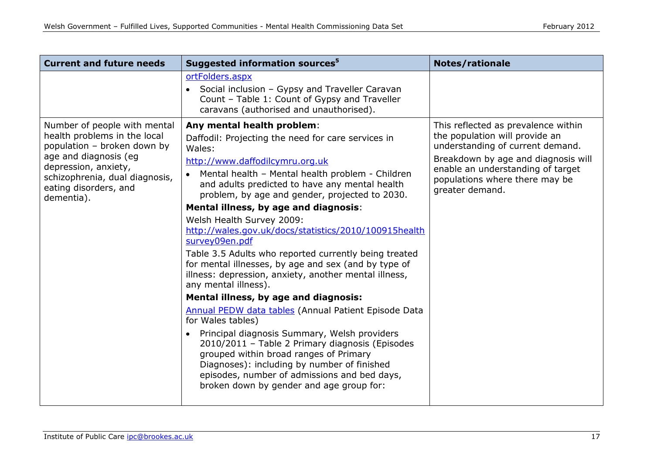| <b>Current and future needs</b>                                                                                                                                                                                       | Suggested information sources <sup>5</sup>                                                                                                                                                                                                                                                                                                                                                                                                                                                                                                                                                                                                                                                                                                                                                                                                                                                                                                                                                                                                                                       | Notes/rationale                                                                                                                                                                                                                            |
|-----------------------------------------------------------------------------------------------------------------------------------------------------------------------------------------------------------------------|----------------------------------------------------------------------------------------------------------------------------------------------------------------------------------------------------------------------------------------------------------------------------------------------------------------------------------------------------------------------------------------------------------------------------------------------------------------------------------------------------------------------------------------------------------------------------------------------------------------------------------------------------------------------------------------------------------------------------------------------------------------------------------------------------------------------------------------------------------------------------------------------------------------------------------------------------------------------------------------------------------------------------------------------------------------------------------|--------------------------------------------------------------------------------------------------------------------------------------------------------------------------------------------------------------------------------------------|
|                                                                                                                                                                                                                       | ortFolders.aspx<br>• Social inclusion – Gypsy and Traveller Caravan<br>Count - Table 1: Count of Gypsy and Traveller<br>caravans (authorised and unauthorised).                                                                                                                                                                                                                                                                                                                                                                                                                                                                                                                                                                                                                                                                                                                                                                                                                                                                                                                  |                                                                                                                                                                                                                                            |
| Number of people with mental<br>health problems in the local<br>population - broken down by<br>age and diagnosis (eq<br>depression, anxiety,<br>schizophrenia, dual diagnosis,<br>eating disorders, and<br>dementia). | Any mental health problem:<br>Daffodil: Projecting the need for care services in<br>Wales:<br>http://www.daffodilcymru.org.uk<br>Mental health - Mental health problem - Children<br>$\bullet$<br>and adults predicted to have any mental health<br>problem, by age and gender, projected to 2030.<br>Mental illness, by age and diagnosis:<br>Welsh Health Survey 2009:<br>http://wales.gov.uk/docs/statistics/2010/100915health<br>survey09en.pdf<br>Table 3.5 Adults who reported currently being treated<br>for mental illnesses, by age and sex (and by type of<br>illness: depression, anxiety, another mental illness,<br>any mental illness).<br>Mental illness, by age and diagnosis:<br>Annual PEDW data tables (Annual Patient Episode Data<br>for Wales tables)<br>Principal diagnosis Summary, Welsh providers<br>$\bullet$<br>2010/2011 - Table 2 Primary diagnosis (Episodes<br>grouped within broad ranges of Primary<br>Diagnoses): including by number of finished<br>episodes, number of admissions and bed days,<br>broken down by gender and age group for: | This reflected as prevalence within<br>the population will provide an<br>understanding of current demand.<br>Breakdown by age and diagnosis will<br>enable an understanding of target<br>populations where there may be<br>greater demand. |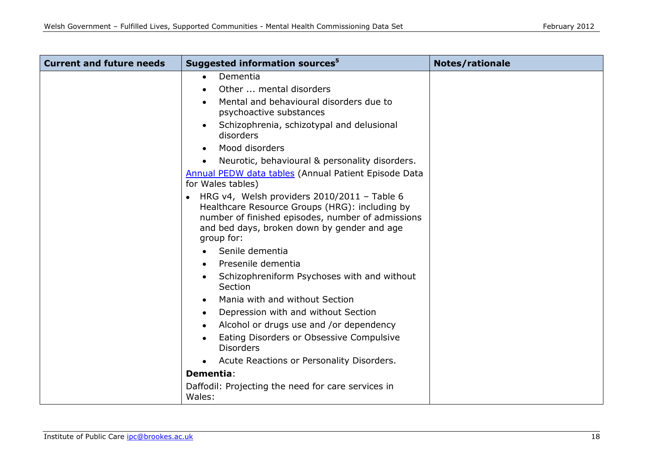| <b>Current and future needs</b> | Suggested information sources <sup>5</sup>                                                                                                                                                                           | <b>Notes/rationale</b> |
|---------------------------------|----------------------------------------------------------------------------------------------------------------------------------------------------------------------------------------------------------------------|------------------------|
|                                 | Dementia<br>$\bullet$                                                                                                                                                                                                |                        |
|                                 | Other  mental disorders                                                                                                                                                                                              |                        |
|                                 | Mental and behavioural disorders due to<br>psychoactive substances                                                                                                                                                   |                        |
|                                 | Schizophrenia, schizotypal and delusional<br>disorders                                                                                                                                                               |                        |
|                                 | Mood disorders                                                                                                                                                                                                       |                        |
|                                 | Neurotic, behavioural & personality disorders.                                                                                                                                                                       |                        |
|                                 | <b>Annual PEDW data tables (Annual Patient Episode Data</b><br>for Wales tables)                                                                                                                                     |                        |
|                                 | • HRG $v4$ , Welsh providers 2010/2011 - Table 6<br>Healthcare Resource Groups (HRG): including by<br>number of finished episodes, number of admissions<br>and bed days, broken down by gender and age<br>group for: |                        |
|                                 | Senile dementia                                                                                                                                                                                                      |                        |
|                                 | Presenile dementia                                                                                                                                                                                                   |                        |
|                                 | Schizophreniform Psychoses with and without<br>Section                                                                                                                                                               |                        |
|                                 | Mania with and without Section                                                                                                                                                                                       |                        |
|                                 | Depression with and without Section                                                                                                                                                                                  |                        |
|                                 | Alcohol or drugs use and /or dependency                                                                                                                                                                              |                        |
|                                 | Eating Disorders or Obsessive Compulsive<br><b>Disorders</b>                                                                                                                                                         |                        |
|                                 | Acute Reactions or Personality Disorders.                                                                                                                                                                            |                        |
|                                 | <b>Dementia:</b>                                                                                                                                                                                                     |                        |
|                                 | Daffodil: Projecting the need for care services in<br>Wales:                                                                                                                                                         |                        |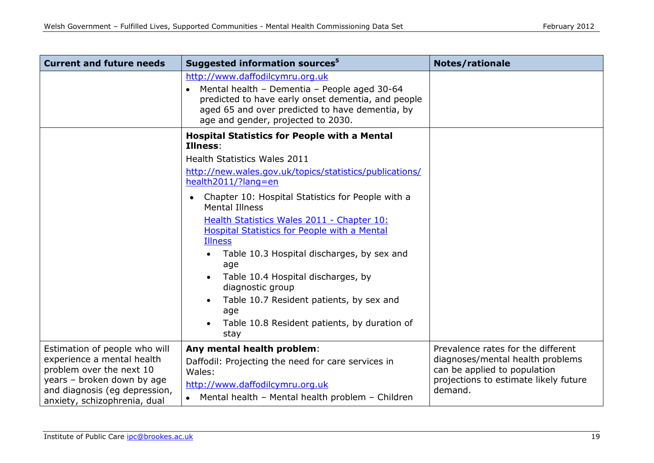| <b>Current and future needs</b>                                                                                                                                                        | Suggested information sources <sup>5</sup>                                                                                                                                                                                                                                                                                                                                                                                                                                                                                                                                                                             | <b>Notes/rationale</b>                                                                                                                                     |
|----------------------------------------------------------------------------------------------------------------------------------------------------------------------------------------|------------------------------------------------------------------------------------------------------------------------------------------------------------------------------------------------------------------------------------------------------------------------------------------------------------------------------------------------------------------------------------------------------------------------------------------------------------------------------------------------------------------------------------------------------------------------------------------------------------------------|------------------------------------------------------------------------------------------------------------------------------------------------------------|
|                                                                                                                                                                                        | http://www.daffodilcymru.org.uk<br>Mental health - Dementia - People aged 30-64<br>predicted to have early onset dementia, and people<br>aged 65 and over predicted to have dementia, by<br>age and gender, projected to 2030.                                                                                                                                                                                                                                                                                                                                                                                         |                                                                                                                                                            |
|                                                                                                                                                                                        | <b>Hospital Statistics for People with a Mental</b><br>Illness:<br>Health Statistics Wales 2011<br>http://new.wales.gov.uk/topics/statistics/publications/<br>health2011/?lang=en<br>Chapter 10: Hospital Statistics for People with a<br>$\bullet$<br><b>Mental Illness</b><br>Health Statistics Wales 2011 - Chapter 10:<br>Hospital Statistics for People with a Mental<br><b>Illness</b><br>Table 10.3 Hospital discharges, by sex and<br>age<br>Table 10.4 Hospital discharges, by<br>diagnostic group<br>Table 10.7 Resident patients, by sex and<br>age<br>Table 10.8 Resident patients, by duration of<br>stay |                                                                                                                                                            |
| Estimation of people who will<br>experience a mental health<br>problem over the next 10<br>years - broken down by age<br>and diagnosis (eg depression,<br>anxiety, schizophrenia, dual | Any mental health problem:<br>Daffodil: Projecting the need for care services in<br>Wales:<br>http://www.daffodilcymru.org.uk<br>Mental health - Mental health problem - Children                                                                                                                                                                                                                                                                                                                                                                                                                                      | Prevalence rates for the different<br>diagnoses/mental health problems<br>can be applied to population<br>projections to estimate likely future<br>demand. |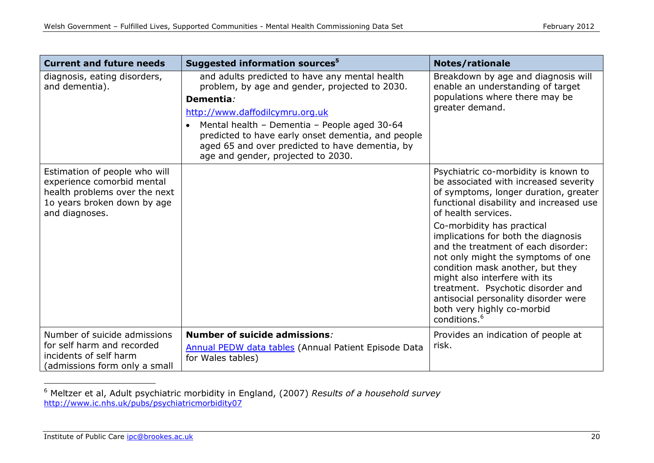| <b>Current and future needs</b>                                                                                                               | Suggested information sources <sup>5</sup>                                                                                                                                                                                                                                                                                                                   | <b>Notes/rationale</b>                                                                                                                                                                                                                                                                                                                                                                                                                                                                                                                                 |
|-----------------------------------------------------------------------------------------------------------------------------------------------|--------------------------------------------------------------------------------------------------------------------------------------------------------------------------------------------------------------------------------------------------------------------------------------------------------------------------------------------------------------|--------------------------------------------------------------------------------------------------------------------------------------------------------------------------------------------------------------------------------------------------------------------------------------------------------------------------------------------------------------------------------------------------------------------------------------------------------------------------------------------------------------------------------------------------------|
| diagnosis, eating disorders,<br>and dementia).                                                                                                | and adults predicted to have any mental health<br>problem, by age and gender, projected to 2030.<br>Dementia:<br>http://www.daffodilcymru.org.uk<br>Mental health - Dementia - People aged 30-64<br>$\bullet$<br>predicted to have early onset dementia, and people<br>aged 65 and over predicted to have dementia, by<br>age and gender, projected to 2030. | Breakdown by age and diagnosis will<br>enable an understanding of target<br>populations where there may be<br>greater demand.                                                                                                                                                                                                                                                                                                                                                                                                                          |
| Estimation of people who will<br>experience comorbid mental<br>health problems over the next<br>10 years broken down by age<br>and diagnoses. |                                                                                                                                                                                                                                                                                                                                                              | Psychiatric co-morbidity is known to<br>be associated with increased severity<br>of symptoms, longer duration, greater<br>functional disability and increased use<br>of health services.<br>Co-morbidity has practical<br>implications for both the diagnosis<br>and the treatment of each disorder:<br>not only might the symptoms of one<br>condition mask another, but they<br>might also interfere with its<br>treatment. Psychotic disorder and<br>antisocial personality disorder were<br>both very highly co-morbid<br>conditions. <sup>6</sup> |
| Number of suicide admissions<br>for self harm and recorded<br>incidents of self harm<br>(admissions form only a small                         | <b>Number of suicide admissions:</b><br><b>Annual PEDW data tables (Annual Patient Episode Data</b><br>for Wales tables)                                                                                                                                                                                                                                     | Provides an indication of people at<br>risk.                                                                                                                                                                                                                                                                                                                                                                                                                                                                                                           |

<sup>6</sup> Meltzer et al, Adult psychiatric morbidity in England, (2007) *Results of a household survey* <http://www.ic.nhs.uk/pubs/psychiatricmorbidity07>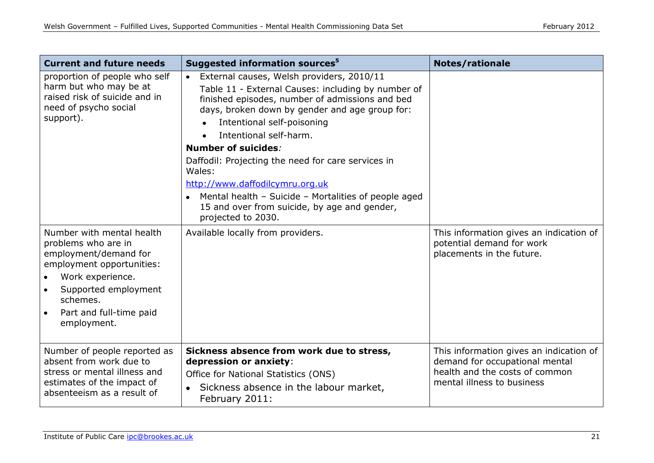| <b>Current and future needs</b>                                                                                                                                                                          | Suggested information sources <sup>5</sup>                                                                                                                                                                                                                                                                                                                                                                                                                                                                                                       | <b>Notes/rationale</b>                                                                                                                    |
|----------------------------------------------------------------------------------------------------------------------------------------------------------------------------------------------------------|--------------------------------------------------------------------------------------------------------------------------------------------------------------------------------------------------------------------------------------------------------------------------------------------------------------------------------------------------------------------------------------------------------------------------------------------------------------------------------------------------------------------------------------------------|-------------------------------------------------------------------------------------------------------------------------------------------|
| proportion of people who self<br>harm but who may be at<br>raised risk of suicide and in<br>need of psycho social<br>support).                                                                           | External causes, Welsh providers, 2010/11<br>$\bullet$<br>Table 11 - External Causes: including by number of<br>finished episodes, number of admissions and bed<br>days, broken down by gender and age group for:<br>Intentional self-poisoning<br>$\bullet$<br>Intentional self-harm.<br>Number of suicides:<br>Daffodil: Projecting the need for care services in<br>Wales:<br>http://www.daffodilcymru.org.uk<br>• Mental health - Suicide - Mortalities of people aged<br>15 and over from suicide, by age and gender,<br>projected to 2030. |                                                                                                                                           |
| Number with mental health<br>problems who are in<br>employment/demand for<br>employment opportunities:<br>Work experience.<br>Supported employment<br>schemes.<br>Part and full-time paid<br>employment. | Available locally from providers.                                                                                                                                                                                                                                                                                                                                                                                                                                                                                                                | This information gives an indication of<br>potential demand for work<br>placements in the future.                                         |
| Number of people reported as<br>absent from work due to<br>stress or mental illness and<br>estimates of the impact of<br>absenteeism as a result of                                                      | Sickness absence from work due to stress,<br>depression or anxiety:<br>Office for National Statistics (ONS)<br>Sickness absence in the labour market,<br>$\bullet$<br>February 2011:                                                                                                                                                                                                                                                                                                                                                             | This information gives an indication of<br>demand for occupational mental<br>health and the costs of common<br>mental illness to business |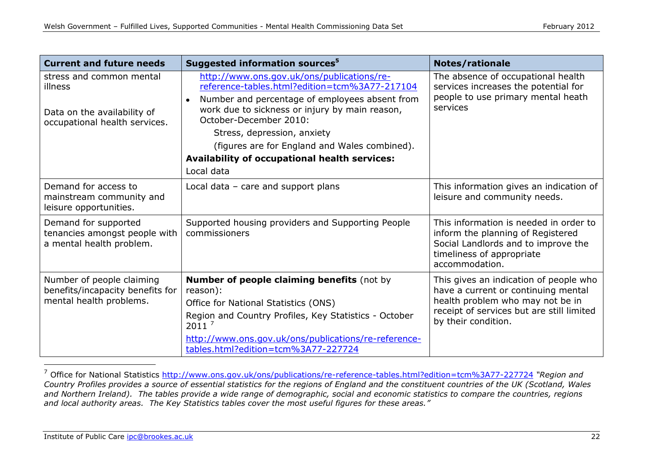| <b>Current and future needs</b>                                                                     | Suggested information sources <sup>5</sup>                                                                                                                                                                                                                                                                                                                               | <b>Notes/rationale</b>                                                                                                                                                                |  |
|-----------------------------------------------------------------------------------------------------|--------------------------------------------------------------------------------------------------------------------------------------------------------------------------------------------------------------------------------------------------------------------------------------------------------------------------------------------------------------------------|---------------------------------------------------------------------------------------------------------------------------------------------------------------------------------------|--|
| stress and common mental<br>illness<br>Data on the availability of<br>occupational health services. | http://www.ons.gov.uk/ons/publications/re-<br>reference-tables.html?edition=tcm%3A77-217104<br>Number and percentage of employees absent from<br>work due to sickness or injury by main reason,<br>October-December 2010:<br>Stress, depression, anxiety<br>(figures are for England and Wales combined).<br>Availability of occupational health services:<br>Local data | The absence of occupational health<br>services increases the potential for<br>people to use primary mental heath<br>services                                                          |  |
| Demand for access to<br>mainstream community and<br>leisure opportunities.                          | Local data $-$ care and support plans                                                                                                                                                                                                                                                                                                                                    | This information gives an indication of<br>leisure and community needs.                                                                                                               |  |
| Demand for supported<br>tenancies amongst people with<br>a mental health problem.                   | Supported housing providers and Supporting People<br>commissioners                                                                                                                                                                                                                                                                                                       | This information is needed in order to<br>inform the planning of Registered<br>Social Landlords and to improve the<br>timeliness of appropriate<br>accommodation.                     |  |
| Number of people claiming<br>benefits/incapacity benefits for<br>mental health problems.            | Number of people claiming benefits (not by<br>reason):<br>Office for National Statistics (ONS)<br>Region and Country Profiles, Key Statistics - October<br>2011 <sup>7</sup><br>http://www.ons.gov.uk/ons/publications/re-reference-<br>tables.html?edition=tcm%3A77-227724                                                                                              | This gives an indication of people who<br>have a current or continuing mental<br>health problem who may not be in<br>receipt of services but are still limited<br>by their condition. |  |

<sup>7</sup> Office for National Statistics <http://www.ons.gov.uk/ons/publications/re-reference-tables.html?edition=tcm%3A77-227724> *"Region and Country Profiles provides a source of essential statistics for the regions of England and the constituent countries of the UK (Scotland, Wales and Northern Ireland). The tables provide a wide range of demographic, social and economic statistics to compare the countries, regions and local authority areas. The Key Statistics tables cover the most useful figures for these areas."*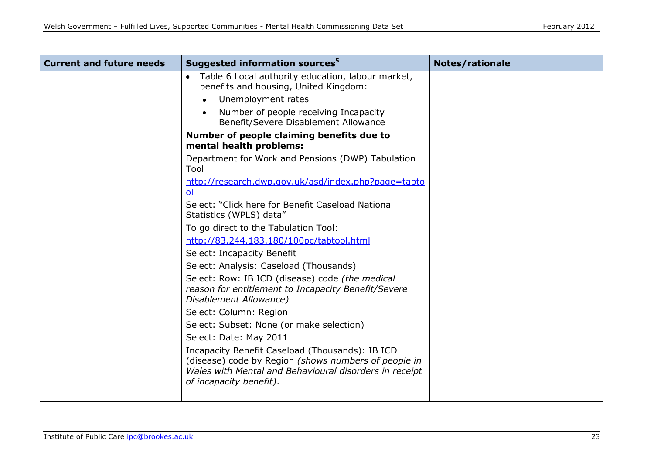| <b>Current and future needs</b> | Suggested information sources <sup>5</sup>                                                                                                                                                   | <b>Notes/rationale</b> |
|---------------------------------|----------------------------------------------------------------------------------------------------------------------------------------------------------------------------------------------|------------------------|
|                                 | Table 6 Local authority education, labour market,<br>benefits and housing, United Kingdom:                                                                                                   |                        |
|                                 | Unemployment rates                                                                                                                                                                           |                        |
|                                 | Number of people receiving Incapacity<br>Benefit/Severe Disablement Allowance                                                                                                                |                        |
|                                 | Number of people claiming benefits due to<br>mental health problems:                                                                                                                         |                        |
|                                 | Department for Work and Pensions (DWP) Tabulation<br>Tool                                                                                                                                    |                        |
|                                 | http://research.dwp.gov.uk/asd/index.php?page=tabto<br>ol                                                                                                                                    |                        |
|                                 | Select: "Click here for Benefit Caseload National<br>Statistics (WPLS) data"                                                                                                                 |                        |
|                                 | To go direct to the Tabulation Tool:                                                                                                                                                         |                        |
|                                 | http://83.244.183.180/100pc/tabtool.html                                                                                                                                                     |                        |
|                                 | Select: Incapacity Benefit                                                                                                                                                                   |                        |
|                                 | Select: Analysis: Caseload (Thousands)                                                                                                                                                       |                        |
|                                 | Select: Row: IB ICD (disease) code (the medical<br>reason for entitlement to Incapacity Benefit/Severe<br>Disablement Allowance)                                                             |                        |
|                                 | Select: Column: Region                                                                                                                                                                       |                        |
|                                 | Select: Subset: None (or make selection)                                                                                                                                                     |                        |
|                                 | Select: Date: May 2011                                                                                                                                                                       |                        |
|                                 | Incapacity Benefit Caseload (Thousands): IB ICD<br>(disease) code by Region (shows numbers of people in<br>Wales with Mental and Behavioural disorders in receipt<br>of incapacity benefit). |                        |
|                                 |                                                                                                                                                                                              |                        |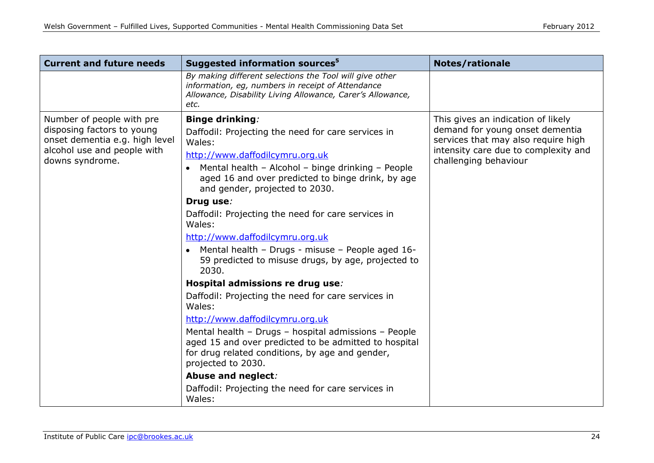| <b>Current and future needs</b>                                                                                                             | Suggested information sources <sup>5</sup>                                                                                                                                                                                                                                                                                                                                                                                                                                                                                                                                                                                                                                                                                                                                                                                                                                                                                         | <b>Notes/rationale</b>                                                                                                                                                        |
|---------------------------------------------------------------------------------------------------------------------------------------------|------------------------------------------------------------------------------------------------------------------------------------------------------------------------------------------------------------------------------------------------------------------------------------------------------------------------------------------------------------------------------------------------------------------------------------------------------------------------------------------------------------------------------------------------------------------------------------------------------------------------------------------------------------------------------------------------------------------------------------------------------------------------------------------------------------------------------------------------------------------------------------------------------------------------------------|-------------------------------------------------------------------------------------------------------------------------------------------------------------------------------|
|                                                                                                                                             | By making different selections the Tool will give other<br>information, eg, numbers in receipt of Attendance<br>Allowance, Disability Living Allowance, Carer's Allowance,<br>etc.                                                                                                                                                                                                                                                                                                                                                                                                                                                                                                                                                                                                                                                                                                                                                 |                                                                                                                                                                               |
| Number of people with pre<br>disposing factors to young<br>onset dementia e.g. high level<br>alcohol use and people with<br>downs syndrome. | <b>Binge drinking:</b><br>Daffodil: Projecting the need for care services in<br>Wales:<br>http://www.daffodilcymru.org.uk<br>Mental health - Alcohol - binge drinking - People<br>aged 16 and over predicted to binge drink, by age<br>and gender, projected to 2030.<br>Drug use:<br>Daffodil: Projecting the need for care services in<br>Wales:<br>http://www.daffodilcymru.org.uk<br>Mental health - Drugs - misuse - People aged 16-<br>$\bullet$<br>59 predicted to misuse drugs, by age, projected to<br>2030.<br>Hospital admissions re drug use:<br>Daffodil: Projecting the need for care services in<br>Wales:<br>http://www.daffodilcymru.org.uk<br>Mental health - Drugs - hospital admissions - People<br>aged 15 and over predicted to be admitted to hospital<br>for drug related conditions, by age and gender,<br>projected to 2030.<br>Abuse and neglect:<br>Daffodil: Projecting the need for care services in | This gives an indication of likely<br>demand for young onset dementia<br>services that may also require high<br>intensity care due to complexity and<br>challenging behaviour |
|                                                                                                                                             | Wales:                                                                                                                                                                                                                                                                                                                                                                                                                                                                                                                                                                                                                                                                                                                                                                                                                                                                                                                             |                                                                                                                                                                               |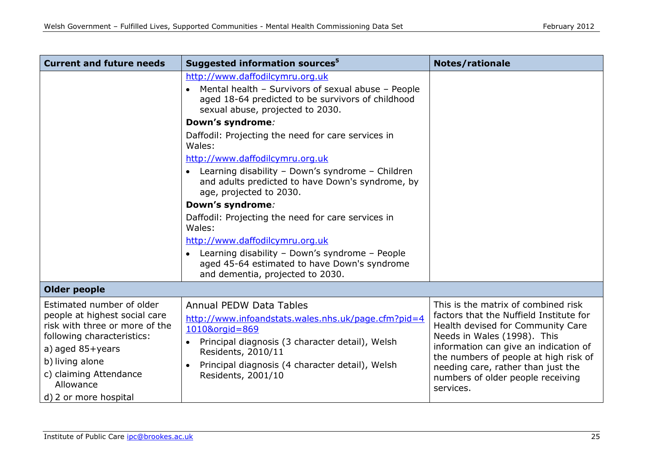| <b>Current and future needs</b>                                                                                                                                                                                                             | Suggested information sources <sup>5</sup>                                                                                                                                                                                                                                          | <b>Notes/rationale</b>                                                                                                                                                                                                                                                                                                       |
|---------------------------------------------------------------------------------------------------------------------------------------------------------------------------------------------------------------------------------------------|-------------------------------------------------------------------------------------------------------------------------------------------------------------------------------------------------------------------------------------------------------------------------------------|------------------------------------------------------------------------------------------------------------------------------------------------------------------------------------------------------------------------------------------------------------------------------------------------------------------------------|
|                                                                                                                                                                                                                                             | http://www.daffodilcymru.org.uk<br>Mental health - Survivors of sexual abuse - People<br>aged 18-64 predicted to be survivors of childhood<br>sexual abuse, projected to 2030.                                                                                                      |                                                                                                                                                                                                                                                                                                                              |
|                                                                                                                                                                                                                                             | Down's syndrome:                                                                                                                                                                                                                                                                    |                                                                                                                                                                                                                                                                                                                              |
|                                                                                                                                                                                                                                             | Daffodil: Projecting the need for care services in<br>Wales:                                                                                                                                                                                                                        |                                                                                                                                                                                                                                                                                                                              |
|                                                                                                                                                                                                                                             | http://www.daffodilcymru.org.uk                                                                                                                                                                                                                                                     |                                                                                                                                                                                                                                                                                                                              |
|                                                                                                                                                                                                                                             | • Learning disability - Down's syndrome - Children<br>and adults predicted to have Down's syndrome, by<br>age, projected to 2030.                                                                                                                                                   |                                                                                                                                                                                                                                                                                                                              |
|                                                                                                                                                                                                                                             | Down's syndrome:                                                                                                                                                                                                                                                                    |                                                                                                                                                                                                                                                                                                                              |
|                                                                                                                                                                                                                                             | Daffodil: Projecting the need for care services in<br>Wales:                                                                                                                                                                                                                        |                                                                                                                                                                                                                                                                                                                              |
|                                                                                                                                                                                                                                             | http://www.daffodilcymru.org.uk                                                                                                                                                                                                                                                     |                                                                                                                                                                                                                                                                                                                              |
|                                                                                                                                                                                                                                             | Learning disability - Down's syndrome - People<br>$\bullet$<br>aged 45-64 estimated to have Down's syndrome<br>and dementia, projected to 2030.                                                                                                                                     |                                                                                                                                                                                                                                                                                                                              |
| <b>Older people</b>                                                                                                                                                                                                                         |                                                                                                                                                                                                                                                                                     |                                                                                                                                                                                                                                                                                                                              |
| Estimated number of older<br>people at highest social care<br>risk with three or more of the<br>following characteristics:<br>a) aged $85 + \gamma$ ears<br>b) living alone<br>c) claiming Attendance<br>Allowance<br>d) 2 or more hospital | <b>Annual PEDW Data Tables</b><br>http://www.infoandstats.wales.nhs.uk/page.cfm?pid=4<br>1010&orgid=869<br>Principal diagnosis (3 character detail), Welsh<br>$\bullet$<br>Residents, 2010/11<br>Principal diagnosis (4 character detail), Welsh<br>$\bullet$<br>Residents, 2001/10 | This is the matrix of combined risk<br>factors that the Nuffield Institute for<br>Health devised for Community Care<br>Needs in Wales (1998). This<br>information can give an indication of<br>the numbers of people at high risk of<br>needing care, rather than just the<br>numbers of older people receiving<br>services. |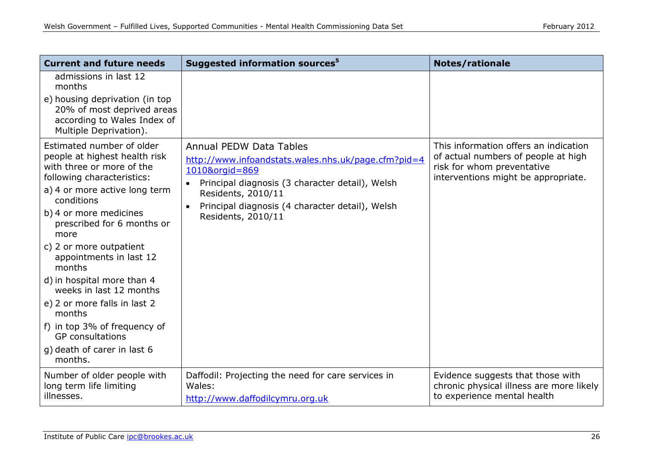| <b>Current and future needs</b>                                                                                                                                                                                                                                                                                                                                                                                                                                                                   | Suggested information sources <sup>5</sup>                                                                                                                                                                                                                             | <b>Notes/rationale</b>                                                                                                                            |  |
|---------------------------------------------------------------------------------------------------------------------------------------------------------------------------------------------------------------------------------------------------------------------------------------------------------------------------------------------------------------------------------------------------------------------------------------------------------------------------------------------------|------------------------------------------------------------------------------------------------------------------------------------------------------------------------------------------------------------------------------------------------------------------------|---------------------------------------------------------------------------------------------------------------------------------------------------|--|
| admissions in last 12<br>months                                                                                                                                                                                                                                                                                                                                                                                                                                                                   |                                                                                                                                                                                                                                                                        |                                                                                                                                                   |  |
| e) housing deprivation (in top<br>20% of most deprived areas<br>according to Wales Index of<br>Multiple Deprivation).                                                                                                                                                                                                                                                                                                                                                                             |                                                                                                                                                                                                                                                                        |                                                                                                                                                   |  |
| Estimated number of older<br>people at highest health risk<br>with three or more of the<br>following characteristics:<br>a) 4 or more active long term<br>conditions<br>b) 4 or more medicines<br>prescribed for 6 months or<br>more<br>c) 2 or more outpatient<br>appointments in last 12<br>months<br>d) in hospital more than 4<br>weeks in last 12 months<br>e) 2 or more falls in last 2<br>months<br>f) in top 3% of frequency of<br><b>GP</b> consultations<br>g) death of carer in last 6 | <b>Annual PEDW Data Tables</b><br>http://www.infoandstats.wales.nhs.uk/page.cfm?pid=4<br>1010&orgid=869<br>Principal diagnosis (3 character detail), Welsh<br>Residents, 2010/11<br>Principal diagnosis (4 character detail), Welsh<br>$\bullet$<br>Residents, 2010/11 | This information offers an indication<br>of actual numbers of people at high<br>risk for whom preventative<br>interventions might be appropriate. |  |
| months.                                                                                                                                                                                                                                                                                                                                                                                                                                                                                           |                                                                                                                                                                                                                                                                        |                                                                                                                                                   |  |
| Number of older people with<br>long term life limiting<br>illnesses.                                                                                                                                                                                                                                                                                                                                                                                                                              | Daffodil: Projecting the need for care services in<br>Wales:<br>http://www.daffodilcymru.org.uk                                                                                                                                                                        | Evidence suggests that those with<br>chronic physical illness are more likely<br>to experience mental health                                      |  |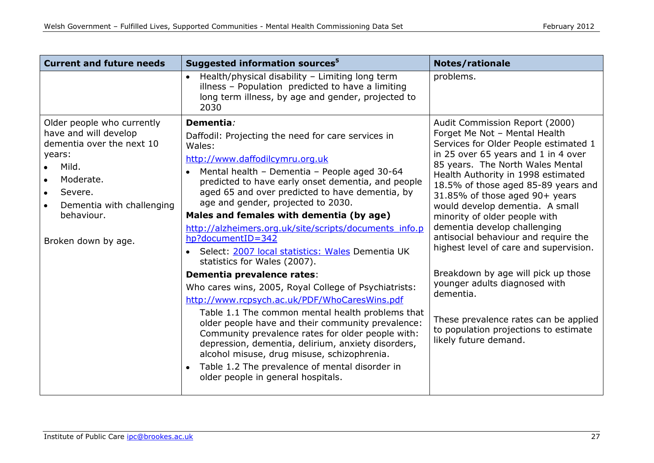| <b>Current and future needs</b>                                                                                                                                                               | Suggested information sources <sup>5</sup>                                                                                                                                                                                                                                                                                                                                                                                                                                                                                                                                                                                                                                                                                                                                                                                                                                                                                                                                                                                                 | <b>Notes/rationale</b>                                                                                                                                                                                                                                                                                                                                                                                                                                                                                                                                                                                                                                                                   |
|-----------------------------------------------------------------------------------------------------------------------------------------------------------------------------------------------|--------------------------------------------------------------------------------------------------------------------------------------------------------------------------------------------------------------------------------------------------------------------------------------------------------------------------------------------------------------------------------------------------------------------------------------------------------------------------------------------------------------------------------------------------------------------------------------------------------------------------------------------------------------------------------------------------------------------------------------------------------------------------------------------------------------------------------------------------------------------------------------------------------------------------------------------------------------------------------------------------------------------------------------------|------------------------------------------------------------------------------------------------------------------------------------------------------------------------------------------------------------------------------------------------------------------------------------------------------------------------------------------------------------------------------------------------------------------------------------------------------------------------------------------------------------------------------------------------------------------------------------------------------------------------------------------------------------------------------------------|
|                                                                                                                                                                                               | Health/physical disability - Limiting long term<br>illness - Population predicted to have a limiting<br>long term illness, by age and gender, projected to<br>2030                                                                                                                                                                                                                                                                                                                                                                                                                                                                                                                                                                                                                                                                                                                                                                                                                                                                         | problems.                                                                                                                                                                                                                                                                                                                                                                                                                                                                                                                                                                                                                                                                                |
| Older people who currently<br>have and will develop<br>dementia over the next 10<br>years:<br>Mild.<br>Moderate.<br>Severe.<br>Dementia with challenging<br>behaviour.<br>Broken down by age. | Dementia:<br>Daffodil: Projecting the need for care services in<br>Wales:<br>http://www.daffodilcymru.org.uk<br>Mental health - Dementia - People aged 30-64<br>$\bullet$<br>predicted to have early onset dementia, and people<br>aged 65 and over predicted to have dementia, by<br>age and gender, projected to 2030.<br>Males and females with dementia (by age)<br>http://alzheimers.org.uk/site/scripts/documents_info.p<br>hp?documentID=342<br>Select: 2007 local statistics: Wales Dementia UK<br>statistics for Wales (2007).<br>Dementia prevalence rates:<br>Who cares wins, 2005, Royal College of Psychiatrists:<br>http://www.rcpsych.ac.uk/PDF/WhoCaresWins.pdf<br>Table 1.1 The common mental health problems that<br>older people have and their community prevalence:<br>Community prevalence rates for older people with:<br>depression, dementia, delirium, anxiety disorders,<br>alcohol misuse, drug misuse, schizophrenia.<br>Table 1.2 The prevalence of mental disorder in<br>older people in general hospitals. | Audit Commission Report (2000)<br>Forget Me Not - Mental Health<br>Services for Older People estimated 1<br>in 25 over 65 years and 1 in 4 over<br>85 years. The North Wales Mental<br>Health Authority in 1998 estimated<br>18.5% of those aged 85-89 years and<br>31.85% of those aged 90+ years<br>would develop dementia. A small<br>minority of older people with<br>dementia develop challenging<br>antisocial behaviour and require the<br>highest level of care and supervision.<br>Breakdown by age will pick up those<br>younger adults diagnosed with<br>dementia.<br>These prevalence rates can be applied<br>to population projections to estimate<br>likely future demand. |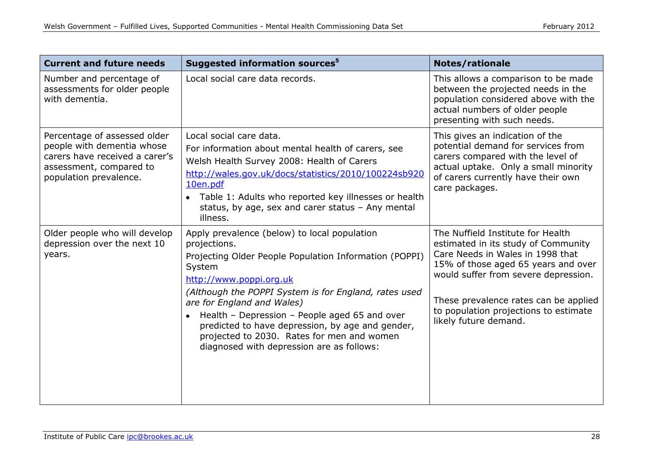| <b>Current and future needs</b>                                                                                                                   | Suggested information sources <sup>5</sup>                                                                                                                                                                                                                                                                                                                                                                                                           | <b>Notes/rationale</b>                                                                                                                                                                                                                                                                                 |
|---------------------------------------------------------------------------------------------------------------------------------------------------|------------------------------------------------------------------------------------------------------------------------------------------------------------------------------------------------------------------------------------------------------------------------------------------------------------------------------------------------------------------------------------------------------------------------------------------------------|--------------------------------------------------------------------------------------------------------------------------------------------------------------------------------------------------------------------------------------------------------------------------------------------------------|
| Number and percentage of<br>assessments for older people<br>with dementia.                                                                        | Local social care data records.                                                                                                                                                                                                                                                                                                                                                                                                                      | This allows a comparison to be made<br>between the projected needs in the<br>population considered above with the<br>actual numbers of older people<br>presenting with such needs.                                                                                                                     |
| Percentage of assessed older<br>people with dementia whose<br>carers have received a carer's<br>assessment, compared to<br>population prevalence. | Local social care data.<br>For information about mental health of carers, see<br>Welsh Health Survey 2008: Health of Carers<br>http://wales.gov.uk/docs/statistics/2010/100224sb920<br>10en.pdf<br>Table 1: Adults who reported key illnesses or health<br>$\bullet$<br>status, by age, sex and carer status - Any mental<br>illness.                                                                                                                | This gives an indication of the<br>potential demand for services from<br>carers compared with the level of<br>actual uptake. Only a small minority<br>of carers currently have their own<br>care packages.                                                                                             |
| Older people who will develop<br>depression over the next 10<br>years.                                                                            | Apply prevalence (below) to local population<br>projections.<br>Projecting Older People Population Information (POPPI)<br>System<br>http://www.poppi.org.uk<br>(Although the POPPI System is for England, rates used<br>are for England and Wales)<br>• Health - Depression - People aged 65 and over<br>predicted to have depression, by age and gender,<br>projected to 2030. Rates for men and women<br>diagnosed with depression are as follows: | The Nuffield Institute for Health<br>estimated in its study of Community<br>Care Needs in Wales in 1998 that<br>15% of those aged 65 years and over<br>would suffer from severe depression.<br>These prevalence rates can be applied<br>to population projections to estimate<br>likely future demand. |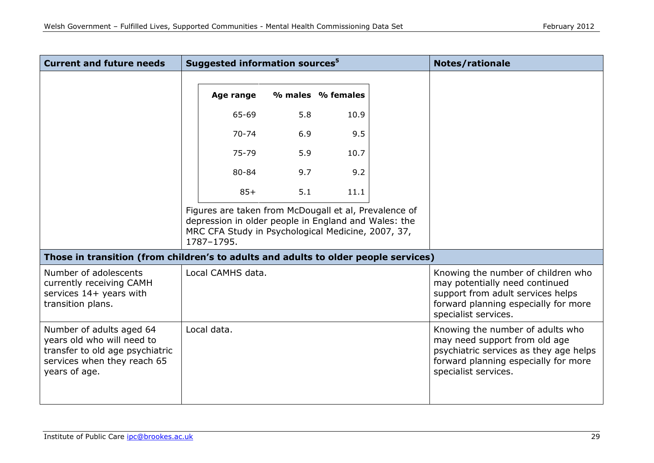| <b>Current and future needs</b>                                                                                                           | Suggested information sources <sup>5</sup>                                                                                                                                        |     |                   | <b>Notes/rationale</b> |                                                                                                                                                                             |
|-------------------------------------------------------------------------------------------------------------------------------------------|-----------------------------------------------------------------------------------------------------------------------------------------------------------------------------------|-----|-------------------|------------------------|-----------------------------------------------------------------------------------------------------------------------------------------------------------------------------|
|                                                                                                                                           | Age range                                                                                                                                                                         |     | % males % females |                        |                                                                                                                                                                             |
|                                                                                                                                           | 65-69                                                                                                                                                                             | 5.8 | 10.9              |                        |                                                                                                                                                                             |
|                                                                                                                                           | $70 - 74$                                                                                                                                                                         | 6.9 | 9.5               |                        |                                                                                                                                                                             |
|                                                                                                                                           | 75-79                                                                                                                                                                             | 5.9 | 10.7              |                        |                                                                                                                                                                             |
|                                                                                                                                           | 80-84                                                                                                                                                                             | 9.7 | 9.2               |                        |                                                                                                                                                                             |
|                                                                                                                                           | $85+$                                                                                                                                                                             | 5.1 | 11.1              |                        |                                                                                                                                                                             |
|                                                                                                                                           | Figures are taken from McDougall et al, Prevalence of<br>depression in older people in England and Wales: the<br>MRC CFA Study in Psychological Medicine, 2007, 37,<br>1787-1795. |     |                   |                        |                                                                                                                                                                             |
| Those in transition (from children's to adults and adults to older people services)                                                       |                                                                                                                                                                                   |     |                   |                        |                                                                                                                                                                             |
| Number of adolescents<br>currently receiving CAMH<br>services 14+ years with<br>transition plans.                                         | Local CAMHS data.                                                                                                                                                                 |     |                   |                        | Knowing the number of children who<br>may potentially need continued<br>support from adult services helps<br>forward planning especially for more<br>specialist services.   |
| Number of adults aged 64<br>years old who will need to<br>transfer to old age psychiatric<br>services when they reach 65<br>years of age. | Local data.                                                                                                                                                                       |     |                   |                        | Knowing the number of adults who<br>may need support from old age<br>psychiatric services as they age helps<br>forward planning especially for more<br>specialist services. |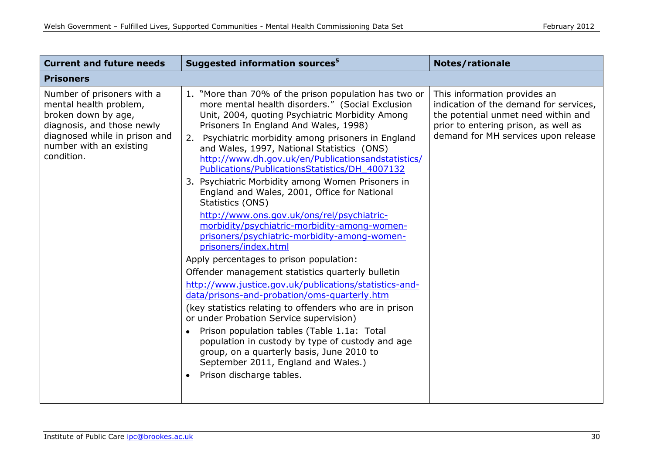| <b>Current and future needs</b>                                                                                                                                                     | Suggested information sources <sup>5</sup>                                                                                                                                                                                                                                                                                                                                                                                                                                                                                                                                                                                                                                                                                                                                                                                                                                                                                                                                                                                                                                                                                                                                                                                                                        | <b>Notes/rationale</b>                                                                                                                                                                       |
|-------------------------------------------------------------------------------------------------------------------------------------------------------------------------------------|-------------------------------------------------------------------------------------------------------------------------------------------------------------------------------------------------------------------------------------------------------------------------------------------------------------------------------------------------------------------------------------------------------------------------------------------------------------------------------------------------------------------------------------------------------------------------------------------------------------------------------------------------------------------------------------------------------------------------------------------------------------------------------------------------------------------------------------------------------------------------------------------------------------------------------------------------------------------------------------------------------------------------------------------------------------------------------------------------------------------------------------------------------------------------------------------------------------------------------------------------------------------|----------------------------------------------------------------------------------------------------------------------------------------------------------------------------------------------|
| <b>Prisoners</b>                                                                                                                                                                    |                                                                                                                                                                                                                                                                                                                                                                                                                                                                                                                                                                                                                                                                                                                                                                                                                                                                                                                                                                                                                                                                                                                                                                                                                                                                   |                                                                                                                                                                                              |
| Number of prisoners with a<br>mental health problem,<br>broken down by age,<br>diagnosis, and those newly<br>diagnosed while in prison and<br>number with an existing<br>condition. | 1. "More than 70% of the prison population has two or<br>more mental health disorders." (Social Exclusion<br>Unit, 2004, quoting Psychiatric Morbidity Among<br>Prisoners In England And Wales, 1998)<br>2. Psychiatric morbidity among prisoners in England<br>and Wales, 1997, National Statistics (ONS)<br>http://www.dh.gov.uk/en/Publicationsandstatistics/<br>Publications/PublicationsStatistics/DH_4007132<br>3. Psychiatric Morbidity among Women Prisoners in<br>England and Wales, 2001, Office for National<br>Statistics (ONS)<br>http://www.ons.gov.uk/ons/rel/psychiatric-<br>morbidity/psychiatric-morbidity-among-women-<br>prisoners/psychiatric-morbidity-among-women-<br>prisoners/index.html<br>Apply percentages to prison population:<br>Offender management statistics quarterly bulletin<br>http://www.justice.gov.uk/publications/statistics-and-<br>data/prisons-and-probation/oms-quarterly.htm<br>(key statistics relating to offenders who are in prison<br>or under Probation Service supervision)<br>Prison population tables (Table 1.1a: Total<br>population in custody by type of custody and age<br>group, on a quarterly basis, June 2010 to<br>September 2011, England and Wales.)<br>Prison discharge tables.<br>$\bullet$ | This information provides an<br>indication of the demand for services,<br>the potential unmet need within and<br>prior to entering prison, as well as<br>demand for MH services upon release |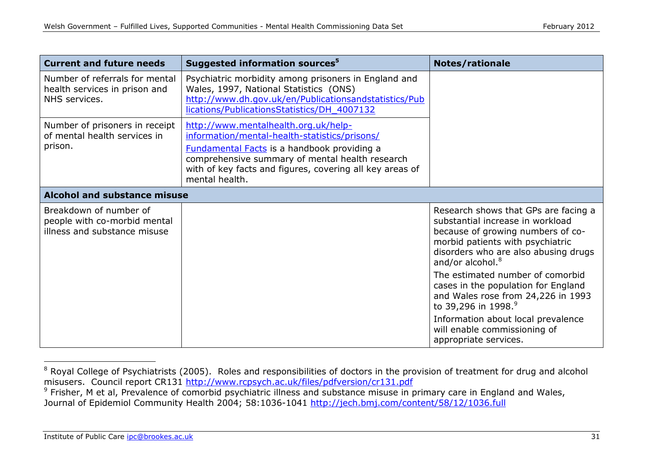| <b>Current and future needs</b>                                                        | Suggested information sources <sup>5</sup>                                                                                                                                                                                                                                   | <b>Notes/rationale</b>                                                                                                                                                                                                                                                                                                                     |
|----------------------------------------------------------------------------------------|------------------------------------------------------------------------------------------------------------------------------------------------------------------------------------------------------------------------------------------------------------------------------|--------------------------------------------------------------------------------------------------------------------------------------------------------------------------------------------------------------------------------------------------------------------------------------------------------------------------------------------|
| Number of referrals for mental<br>health services in prison and<br>NHS services.       | Psychiatric morbidity among prisoners in England and<br>Wales, 1997, National Statistics (ONS)<br>http://www.dh.gov.uk/en/Publicationsandstatistics/Pub<br>lications/PublicationsStatistics/DH 4007132                                                                       |                                                                                                                                                                                                                                                                                                                                            |
| Number of prisoners in receipt<br>of mental health services in<br>prison.              | http://www.mentalhealth.org.uk/help-<br>information/mental-health-statistics/prisons/<br><b>Fundamental Facts</b> is a handbook providing a<br>comprehensive summary of mental health research<br>with of key facts and figures, covering all key areas of<br>mental health. |                                                                                                                                                                                                                                                                                                                                            |
| <b>Alcohol and substance misuse</b>                                                    |                                                                                                                                                                                                                                                                              |                                                                                                                                                                                                                                                                                                                                            |
| Breakdown of number of<br>people with co-morbid mental<br>illness and substance misuse |                                                                                                                                                                                                                                                                              | Research shows that GPs are facing a<br>substantial increase in workload<br>because of growing numbers of co-<br>morbid patients with psychiatric<br>disorders who are also abusing drugs<br>and/or alcohol. <sup>8</sup><br>The estimated number of comorbid<br>cases in the population for England<br>and Wales rose from 24,226 in 1993 |
|                                                                                        |                                                                                                                                                                                                                                                                              | to 39,296 in 1998. <sup>9</sup>                                                                                                                                                                                                                                                                                                            |
|                                                                                        |                                                                                                                                                                                                                                                                              | Information about local prevalence<br>will enable commissioning of<br>appropriate services.                                                                                                                                                                                                                                                |

<sup>&</sup>lt;sup>8</sup> Royal College of Psychiatrists (2005). Roles and responsibilities of doctors in the provision of treatment for drug and alcohol misusers. Council report CR131<http://www.rcpsych.ac.uk/files/pdfversion/cr131.pdf> <sup>9</sup> Frisher, M et al, Prevalence of comorbid psychiatric illness and substance misuse in primary care in England and Wales,

Journal of Epidemiol Community Health 2004; 58:1036-1041 <http://jech.bmj.com/content/58/12/1036.full>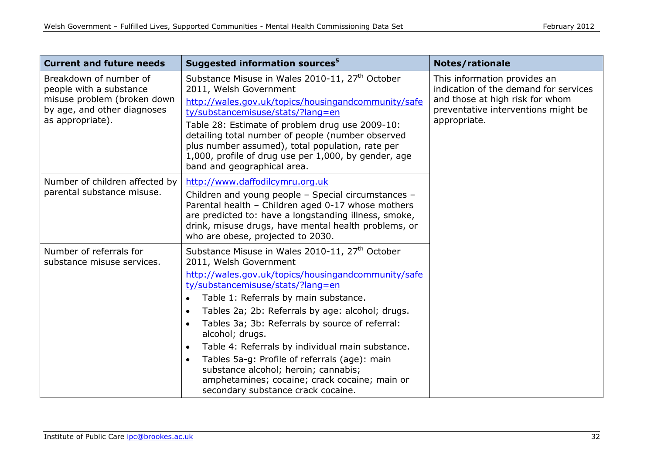| <b>Current and future needs</b>                                                                                                     | Suggested information sources <sup>5</sup>                                                                                                                                                                                                                                                                                                                                                                                                                                                                                                                                                                                                   | <b>Notes/rationale</b>                                                                                                                                          |
|-------------------------------------------------------------------------------------------------------------------------------------|----------------------------------------------------------------------------------------------------------------------------------------------------------------------------------------------------------------------------------------------------------------------------------------------------------------------------------------------------------------------------------------------------------------------------------------------------------------------------------------------------------------------------------------------------------------------------------------------------------------------------------------------|-----------------------------------------------------------------------------------------------------------------------------------------------------------------|
| Breakdown of number of<br>people with a substance<br>misuse problem (broken down<br>by age, and other diagnoses<br>as appropriate). | Substance Misuse in Wales 2010-11, 27 <sup>th</sup> October<br>2011, Welsh Government<br>http://wales.gov.uk/topics/housingandcommunity/safe<br>ty/substancemisuse/stats/?lang=en<br>Table 28: Estimate of problem drug use 2009-10:<br>detailing total number of people (number observed<br>plus number assumed), total population, rate per<br>1,000, profile of drug use per 1,000, by gender, age<br>band and geographical area.                                                                                                                                                                                                         | This information provides an<br>indication of the demand for services<br>and those at high risk for whom<br>preventative interventions might be<br>appropriate. |
| Number of children affected by<br>parental substance misuse.                                                                        | http://www.daffodilcymru.org.uk<br>Children and young people - Special circumstances -<br>Parental health - Children aged 0-17 whose mothers<br>are predicted to: have a longstanding illness, smoke,<br>drink, misuse drugs, have mental health problems, or<br>who are obese, projected to 2030.                                                                                                                                                                                                                                                                                                                                           |                                                                                                                                                                 |
| Number of referrals for<br>substance misuse services.                                                                               | Substance Misuse in Wales 2010-11, 27 <sup>th</sup> October<br>2011, Welsh Government<br>http://wales.gov.uk/topics/housingandcommunity/safe<br>ty/substancemisuse/stats/?lang=en<br>Table 1: Referrals by main substance.<br>Tables 2a; 2b: Referrals by age: alcohol; drugs.<br>$\bullet$<br>Tables 3a; 3b: Referrals by source of referral:<br>$\bullet$<br>alcohol; drugs.<br>Table 4: Referrals by individual main substance.<br>$\bullet$<br>Tables 5a-g: Profile of referrals (age): main<br>$\bullet$<br>substance alcohol; heroin; cannabis;<br>amphetamines; cocaine; crack cocaine; main or<br>secondary substance crack cocaine. |                                                                                                                                                                 |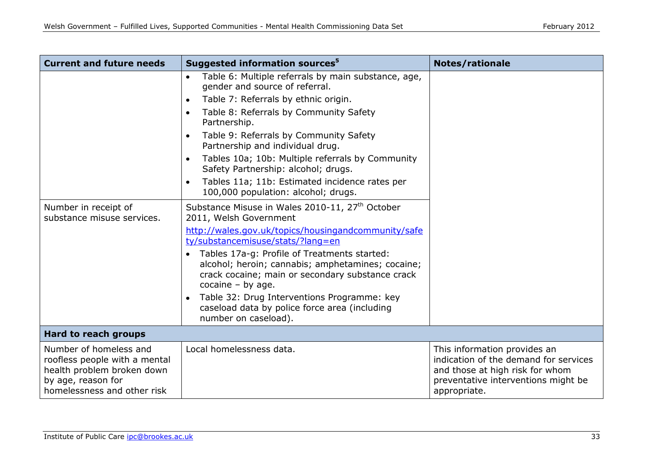| <b>Current and future needs</b>                                                                                                            | Suggested information sources <sup>5</sup>                                                                                                                                                | Notes/rationale                                                                                                                                                 |
|--------------------------------------------------------------------------------------------------------------------------------------------|-------------------------------------------------------------------------------------------------------------------------------------------------------------------------------------------|-----------------------------------------------------------------------------------------------------------------------------------------------------------------|
|                                                                                                                                            | Table 6: Multiple referrals by main substance, age,<br>$\bullet$<br>gender and source of referral.                                                                                        |                                                                                                                                                                 |
|                                                                                                                                            | Table 7: Referrals by ethnic origin.<br>$\bullet$                                                                                                                                         |                                                                                                                                                                 |
|                                                                                                                                            | Table 8: Referrals by Community Safety<br>$\bullet$<br>Partnership.                                                                                                                       |                                                                                                                                                                 |
|                                                                                                                                            | Table 9: Referrals by Community Safety<br>Partnership and individual drug.                                                                                                                |                                                                                                                                                                 |
|                                                                                                                                            | Tables 10a; 10b: Multiple referrals by Community<br>Safety Partnership: alcohol; drugs.                                                                                                   |                                                                                                                                                                 |
|                                                                                                                                            | Tables 11a; 11b: Estimated incidence rates per<br>100,000 population: alcohol; drugs.                                                                                                     |                                                                                                                                                                 |
| Number in receipt of<br>substance misuse services.                                                                                         | Substance Misuse in Wales 2010-11, 27 <sup>th</sup> October<br>2011, Welsh Government                                                                                                     |                                                                                                                                                                 |
|                                                                                                                                            | http://wales.gov.uk/topics/housingandcommunity/safe<br>ty/substancemisuse/stats/?lang=en                                                                                                  |                                                                                                                                                                 |
|                                                                                                                                            | Tables 17a-g: Profile of Treatments started:<br>$\bullet$<br>alcohol; heroin; cannabis; amphetamines; cocaine;<br>crack cocaine; main or secondary substance crack<br>cocaine $-$ by age. |                                                                                                                                                                 |
|                                                                                                                                            | Table 32: Drug Interventions Programme: key<br>caseload data by police force area (including<br>number on caseload).                                                                      |                                                                                                                                                                 |
| Hard to reach groups                                                                                                                       |                                                                                                                                                                                           |                                                                                                                                                                 |
| Number of homeless and<br>roofless people with a mental<br>health problem broken down<br>by age, reason for<br>homelessness and other risk | Local homelessness data.                                                                                                                                                                  | This information provides an<br>indication of the demand for services<br>and those at high risk for whom<br>preventative interventions might be<br>appropriate. |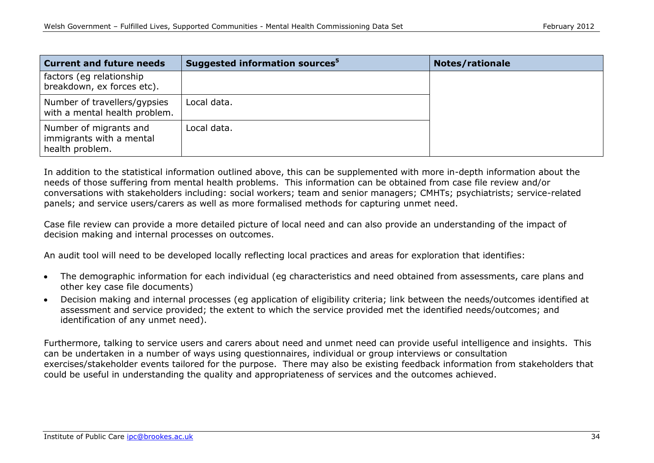| <b>Current and future needs</b>                                       | Suggested information sources <sup>5</sup> | <b>Notes/rationale</b> |
|-----------------------------------------------------------------------|--------------------------------------------|------------------------|
| factors (eg relationship<br>breakdown, ex forces etc).                |                                            |                        |
| Number of travellers/gypsies<br>with a mental health problem.         | Local data.                                |                        |
| Number of migrants and<br>immigrants with a mental<br>health problem. | Local data.                                |                        |

In addition to the statistical information outlined above, this can be supplemented with more in-depth information about the needs of those suffering from mental health problems. This information can be obtained from case file review and/or conversations with stakeholders including: social workers; team and senior managers; CMHTs; psychiatrists; service-related panels; and service users/carers as well as more formalised methods for capturing unmet need.

Case file review can provide a more detailed picture of local need and can also provide an understanding of the impact of decision making and internal processes on outcomes.

An audit tool will need to be developed locally reflecting local practices and areas for exploration that identifies:

- The demographic information for each individual (eg characteristics and need obtained from assessments, care plans and  $\bullet$ other key case file documents)
- Decision making and internal processes (eg application of eligibility criteria; link between the needs/outcomes identified at  $\bullet$ assessment and service provided; the extent to which the service provided met the identified needs/outcomes; and identification of any unmet need).

Furthermore, talking to service users and carers about need and unmet need can provide useful intelligence and insights. This can be undertaken in a number of ways using questionnaires, individual or group interviews or consultation exercises/stakeholder events tailored for the purpose. There may also be existing feedback information from stakeholders that could be useful in understanding the quality and appropriateness of services and the outcomes achieved.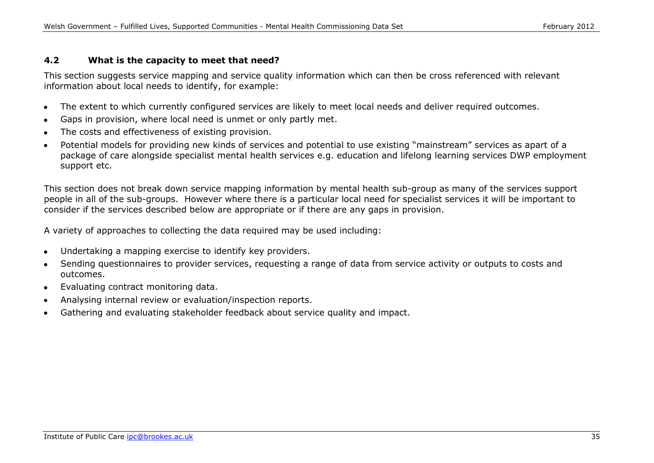#### **4.2 What is the capacity to meet that need?**

This section suggests service mapping and service quality information which can then be cross referenced with relevant information about local needs to identify, for example:

- The extent to which currently configured services are likely to meet local needs and deliver required outcomes.  $\bullet$
- Gaps in provision, where local need is unmet or only partly met.
- The costs and effectiveness of existing provision.
- Potential models for providing new kinds of services and potential to use existing "mainstream" services as apart of a package of care alongside specialist mental health services e.g. education and lifelong learning services DWP employment support etc.

This section does not break down service mapping information by mental health sub-group as many of the services support people in all of the sub-groups. However where there is a particular local need for specialist services it will be important to consider if the services described below are appropriate or if there are any gaps in provision.

A variety of approaches to collecting the data required may be used including:

- Undertaking a mapping exercise to identify key providers.  $\bullet$
- Sending questionnaires to provider services, requesting a range of data from service activity or outputs to costs and  $\bullet$ outcomes.
- Evaluating contract monitoring data.  $\bullet$
- Analysing internal review or evaluation/inspection reports.
- Gathering and evaluating stakeholder feedback about service quality and impact.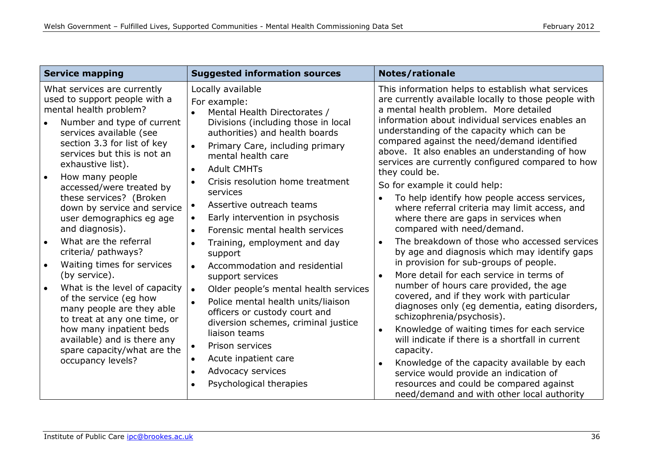| <b>Service mapping</b>                                                                                                                                                                                                                                                                                                                                                                                                                                                                                                                                                                                                                                                                                                          | <b>Suggested information sources</b>                                                                                                                                                                                                                                                                                                                                                                                                                                                                                                                                                                                                                                                                                                                                                                                                                                                                                                              | Notes/rationale                                                                                                                                                                                                                                                                                                                                                                                                                                                                                                                                                                                                                                                                                                                                                                                                                                                                                                                                                                                                                                                                                                                                                                                                                                                     |
|---------------------------------------------------------------------------------------------------------------------------------------------------------------------------------------------------------------------------------------------------------------------------------------------------------------------------------------------------------------------------------------------------------------------------------------------------------------------------------------------------------------------------------------------------------------------------------------------------------------------------------------------------------------------------------------------------------------------------------|---------------------------------------------------------------------------------------------------------------------------------------------------------------------------------------------------------------------------------------------------------------------------------------------------------------------------------------------------------------------------------------------------------------------------------------------------------------------------------------------------------------------------------------------------------------------------------------------------------------------------------------------------------------------------------------------------------------------------------------------------------------------------------------------------------------------------------------------------------------------------------------------------------------------------------------------------|---------------------------------------------------------------------------------------------------------------------------------------------------------------------------------------------------------------------------------------------------------------------------------------------------------------------------------------------------------------------------------------------------------------------------------------------------------------------------------------------------------------------------------------------------------------------------------------------------------------------------------------------------------------------------------------------------------------------------------------------------------------------------------------------------------------------------------------------------------------------------------------------------------------------------------------------------------------------------------------------------------------------------------------------------------------------------------------------------------------------------------------------------------------------------------------------------------------------------------------------------------------------|
| What services are currently<br>used to support people with a<br>mental health problem?<br>Number and type of current<br>services available (see<br>section 3.3 for list of key<br>services but this is not an<br>exhaustive list).<br>How many people<br>accessed/were treated by<br>these services? (Broken<br>down by service and service<br>user demographics eg age<br>and diagnosis).<br>What are the referral<br>criteria/ pathways?<br>Waiting times for services<br>(by service).<br>What is the level of capacity<br>of the service (eg how<br>many people are they able<br>to treat at any one time, or<br>how many inpatient beds<br>available) and is there any<br>spare capacity/what are the<br>occupancy levels? | Locally available<br>For example:<br>Mental Health Directorates /<br>$\bullet$<br>Divisions (including those in local<br>authorities) and health boards<br>Primary Care, including primary<br>$\bullet$<br>mental health care<br><b>Adult CMHTs</b><br>$\bullet$<br>Crisis resolution home treatment<br>$\bullet$<br>services<br>Assertive outreach teams<br>$\bullet$<br>Early intervention in psychosis<br>$\bullet$<br>Forensic mental health services<br>$\bullet$<br>Training, employment and day<br>$\bullet$<br>support<br>Accommodation and residential<br>$\bullet$<br>support services<br>Older people's mental health services<br>$\bullet$<br>Police mental health units/liaison<br>$\bullet$<br>officers or custody court and<br>diversion schemes, criminal justice<br>liaison teams<br>Prison services<br>$\bullet$<br>Acute inpatient care<br>$\bullet$<br>Advocacy services<br>$\bullet$<br>Psychological therapies<br>$\bullet$ | This information helps to establish what services<br>are currently available locally to those people with<br>a mental health problem. More detailed<br>information about individual services enables an<br>understanding of the capacity which can be<br>compared against the need/demand identified<br>above. It also enables an understanding of how<br>services are currently configured compared to how<br>they could be.<br>So for example it could help:<br>To help identify how people access services,<br>where referral criteria may limit access, and<br>where there are gaps in services when<br>compared with need/demand.<br>The breakdown of those who accessed services<br>by age and diagnosis which may identify gaps<br>in provision for sub-groups of people.<br>More detail for each service in terms of<br>number of hours care provided, the age<br>covered, and if they work with particular<br>diagnoses only (eg dementia, eating disorders,<br>schizophrenia/psychosis).<br>Knowledge of waiting times for each service<br>$\bullet$<br>will indicate if there is a shortfall in current<br>capacity.<br>Knowledge of the capacity available by each<br>service would provide an indication of<br>resources and could be compared against |
|                                                                                                                                                                                                                                                                                                                                                                                                                                                                                                                                                                                                                                                                                                                                 |                                                                                                                                                                                                                                                                                                                                                                                                                                                                                                                                                                                                                                                                                                                                                                                                                                                                                                                                                   | need/demand and with other local authority                                                                                                                                                                                                                                                                                                                                                                                                                                                                                                                                                                                                                                                                                                                                                                                                                                                                                                                                                                                                                                                                                                                                                                                                                          |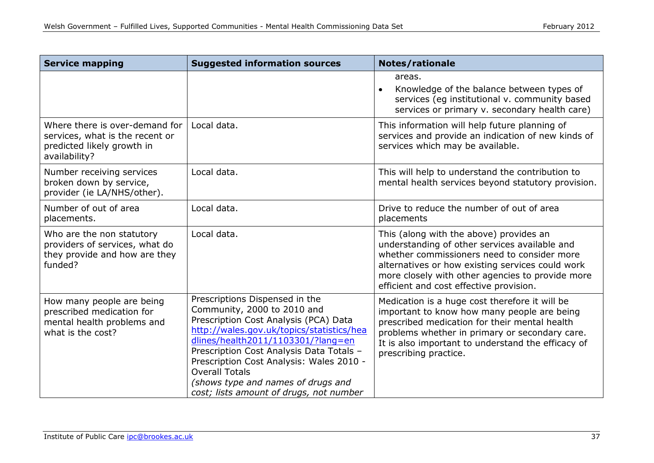| <b>Service mapping</b>                                                                                           | <b>Suggested information sources</b>                                                                                                                                                                                                                                                                                                                                                        | Notes/rationale                                                                                                                                                                                                                                                                            |
|------------------------------------------------------------------------------------------------------------------|---------------------------------------------------------------------------------------------------------------------------------------------------------------------------------------------------------------------------------------------------------------------------------------------------------------------------------------------------------------------------------------------|--------------------------------------------------------------------------------------------------------------------------------------------------------------------------------------------------------------------------------------------------------------------------------------------|
|                                                                                                                  |                                                                                                                                                                                                                                                                                                                                                                                             | areas.<br>Knowledge of the balance between types of<br>services (eg institutional v. community based<br>services or primary v. secondary health care)                                                                                                                                      |
| Where there is over-demand for<br>services, what is the recent or<br>predicted likely growth in<br>availability? | Local data.                                                                                                                                                                                                                                                                                                                                                                                 | This information will help future planning of<br>services and provide an indication of new kinds of<br>services which may be available.                                                                                                                                                    |
| Number receiving services<br>broken down by service,<br>provider (ie LA/NHS/other).                              | Local data.                                                                                                                                                                                                                                                                                                                                                                                 | This will help to understand the contribution to<br>mental health services beyond statutory provision.                                                                                                                                                                                     |
| Number of out of area<br>placements.                                                                             | Local data.                                                                                                                                                                                                                                                                                                                                                                                 | Drive to reduce the number of out of area<br>placements                                                                                                                                                                                                                                    |
| Who are the non statutory<br>providers of services, what do<br>they provide and how are they<br>funded?          | Local data.                                                                                                                                                                                                                                                                                                                                                                                 | This (along with the above) provides an<br>understanding of other services available and<br>whether commissioners need to consider more<br>alternatives or how existing services could work<br>more closely with other agencies to provide more<br>efficient and cost effective provision. |
| How many people are being<br>prescribed medication for<br>mental health problems and<br>what is the cost?        | Prescriptions Dispensed in the<br>Community, 2000 to 2010 and<br>Prescription Cost Analysis (PCA) Data<br>http://wales.gov.uk/topics/statistics/hea<br>dlines/health2011/1103301/?lang=en<br>Prescription Cost Analysis Data Totals -<br>Prescription Cost Analysis: Wales 2010 -<br><b>Overall Totals</b><br>(shows type and names of drugs and<br>cost; lists amount of drugs, not number | Medication is a huge cost therefore it will be<br>important to know how many people are being<br>prescribed medication for their mental health<br>problems whether in primary or secondary care.<br>It is also important to understand the efficacy of<br>prescribing practice.            |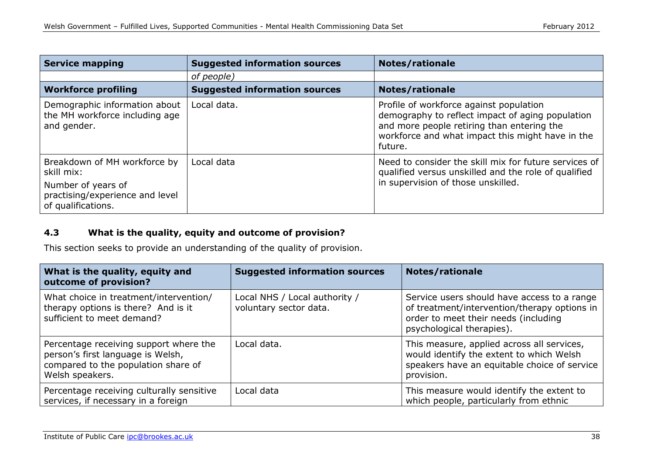| <b>Service mapping</b>                                                                                                    | <b>Suggested information sources</b> | <b>Notes/rationale</b>                                                                                                                                                                                   |
|---------------------------------------------------------------------------------------------------------------------------|--------------------------------------|----------------------------------------------------------------------------------------------------------------------------------------------------------------------------------------------------------|
|                                                                                                                           | of people)                           |                                                                                                                                                                                                          |
| <b>Workforce profiling</b>                                                                                                | <b>Suggested information sources</b> | Notes/rationale                                                                                                                                                                                          |
| Demographic information about<br>the MH workforce including age<br>and gender.                                            | Local data.                          | Profile of workforce against population<br>demography to reflect impact of aging population<br>and more people retiring than entering the<br>workforce and what impact this might have in the<br>future. |
| Breakdown of MH workforce by<br>skill mix:<br>Number of years of<br>practising/experience and level<br>of qualifications. | Local data                           | Need to consider the skill mix for future services of<br>qualified versus unskilled and the role of qualified<br>in supervision of those unskilled.                                                      |

## **4.3 What is the quality, equity and outcome of provision?**

This section seeks to provide an understanding of the quality of provision.

| What is the quality, equity and<br>outcome of provision?                                                                              | <b>Suggested information sources</b>                    | <b>Notes/rationale</b>                                                                                                                                           |
|---------------------------------------------------------------------------------------------------------------------------------------|---------------------------------------------------------|------------------------------------------------------------------------------------------------------------------------------------------------------------------|
| What choice in treatment/intervention/<br>therapy options is there? And is it<br>sufficient to meet demand?                           | Local NHS / Local authority /<br>voluntary sector data. | Service users should have access to a range<br>of treatment/intervention/therapy options in<br>order to meet their needs (including<br>psychological therapies). |
| Percentage receiving support where the<br>person's first language is Welsh,<br>compared to the population share of<br>Welsh speakers. | Local data.                                             | This measure, applied across all services,<br>would identify the extent to which Welsh<br>speakers have an equitable choice of service<br>provision.             |
| Percentage receiving culturally sensitive<br>services, if necessary in a foreign                                                      | Local data                                              | This measure would identify the extent to<br>which people, particularly from ethnic                                                                              |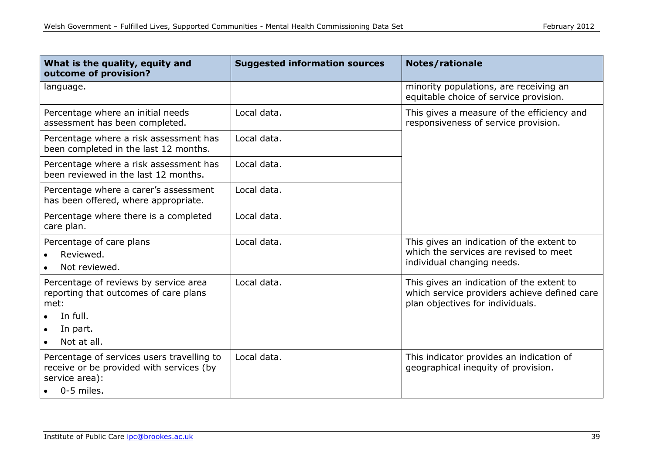| What is the quality, equity and<br>outcome of provision?                                                                      | <b>Suggested information sources</b> | <b>Notes/rationale</b>                                                                                                        |
|-------------------------------------------------------------------------------------------------------------------------------|--------------------------------------|-------------------------------------------------------------------------------------------------------------------------------|
| language.                                                                                                                     |                                      | minority populations, are receiving an<br>equitable choice of service provision.                                              |
| Percentage where an initial needs<br>assessment has been completed.                                                           | Local data.                          | This gives a measure of the efficiency and<br>responsiveness of service provision.                                            |
| Percentage where a risk assessment has<br>been completed in the last 12 months.                                               | Local data.                          |                                                                                                                               |
| Percentage where a risk assessment has<br>been reviewed in the last 12 months.                                                | Local data.                          |                                                                                                                               |
| Percentage where a carer's assessment<br>has been offered, where appropriate.                                                 | Local data.                          |                                                                                                                               |
| Percentage where there is a completed<br>care plan.                                                                           | Local data.                          |                                                                                                                               |
| Percentage of care plans<br>Reviewed.<br>$\bullet$<br>Not reviewed.                                                           | Local data.                          | This gives an indication of the extent to<br>which the services are revised to meet<br>individual changing needs.             |
| Percentage of reviews by service area<br>reporting that outcomes of care plans<br>met:<br>In full.<br>In part.<br>Not at all. | Local data.                          | This gives an indication of the extent to<br>which service providers achieve defined care<br>plan objectives for individuals. |
| Percentage of services users travelling to<br>receive or be provided with services (by<br>service area):<br>0-5 miles.        | Local data.                          | This indicator provides an indication of<br>geographical inequity of provision.                                               |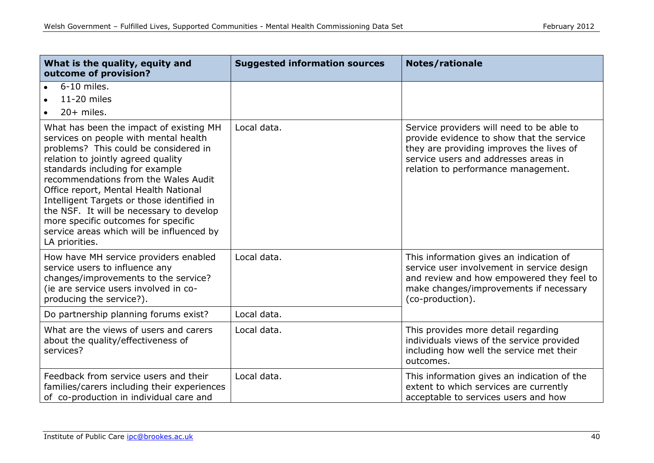| What is the quality, equity and<br>outcome of provision?                                                                                                                                                                                                                                                                                                                                                                                                                            | <b>Suggested information sources</b> | <b>Notes/rationale</b>                                                                                                                                                                                            |
|-------------------------------------------------------------------------------------------------------------------------------------------------------------------------------------------------------------------------------------------------------------------------------------------------------------------------------------------------------------------------------------------------------------------------------------------------------------------------------------|--------------------------------------|-------------------------------------------------------------------------------------------------------------------------------------------------------------------------------------------------------------------|
| 6-10 miles.<br>11-20 miles<br>$20+$ miles.<br>$\bullet$                                                                                                                                                                                                                                                                                                                                                                                                                             |                                      |                                                                                                                                                                                                                   |
| What has been the impact of existing MH<br>services on people with mental health<br>problems? This could be considered in<br>relation to jointly agreed quality<br>standards including for example<br>recommendations from the Wales Audit<br>Office report, Mental Health National<br>Intelligent Targets or those identified in<br>the NSF. It will be necessary to develop<br>more specific outcomes for specific<br>service areas which will be influenced by<br>LA priorities. | Local data.                          | Service providers will need to be able to<br>provide evidence to show that the service<br>they are providing improves the lives of<br>service users and addresses areas in<br>relation to performance management. |
| How have MH service providers enabled<br>service users to influence any<br>changes/improvements to the service?<br>(ie are service users involved in co-<br>producing the service?).                                                                                                                                                                                                                                                                                                | Local data.                          | This information gives an indication of<br>service user involvement in service design<br>and review and how empowered they feel to<br>make changes/improvements if necessary<br>(co-production).                  |
| Do partnership planning forums exist?                                                                                                                                                                                                                                                                                                                                                                                                                                               | Local data.                          |                                                                                                                                                                                                                   |
| What are the views of users and carers<br>about the quality/effectiveness of<br>services?                                                                                                                                                                                                                                                                                                                                                                                           | Local data.                          | This provides more detail regarding<br>individuals views of the service provided<br>including how well the service met their<br>outcomes.                                                                         |
| Feedback from service users and their<br>families/carers including their experiences<br>of co-production in individual care and                                                                                                                                                                                                                                                                                                                                                     | Local data.                          | This information gives an indication of the<br>extent to which services are currently<br>acceptable to services users and how                                                                                     |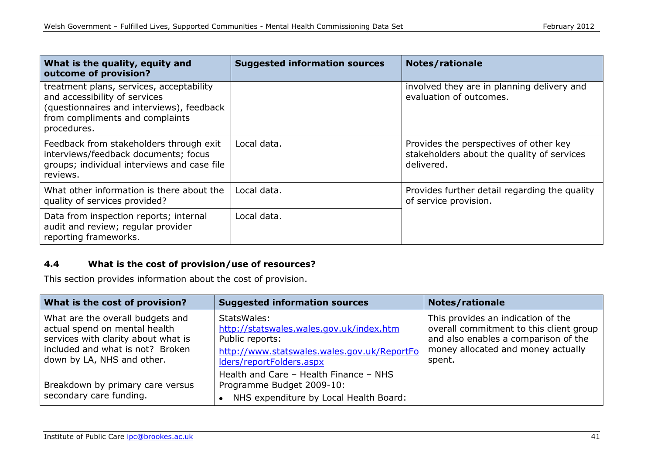| What is the quality, equity and<br>outcome of provision?                                                                                                                 | <b>Suggested information sources</b> | <b>Notes/rationale</b>                                                                             |
|--------------------------------------------------------------------------------------------------------------------------------------------------------------------------|--------------------------------------|----------------------------------------------------------------------------------------------------|
| treatment plans, services, acceptability<br>and accessibility of services<br>(questionnaires and interviews), feedback<br>from compliments and complaints<br>procedures. |                                      | involved they are in planning delivery and<br>evaluation of outcomes.                              |
| Feedback from stakeholders through exit<br>interviews/feedback documents; focus<br>groups; individual interviews and case file<br>reviews.                               | Local data.                          | Provides the perspectives of other key<br>stakeholders about the quality of services<br>delivered. |
| What other information is there about the<br>quality of services provided?                                                                                               | Local data.                          | Provides further detail regarding the quality<br>of service provision.                             |
| Data from inspection reports; internal<br>audit and review; regular provider<br>reporting frameworks.                                                                    | Local data.                          |                                                                                                    |

## **4.4 What is the cost of provision/use of resources?**

This section provides information about the cost of provision.

| What is the cost of provision?                                                                                                                                             | <b>Suggested information sources</b>                                                                                                                  | <b>Notes/rationale</b>                                                                                                                                                |
|----------------------------------------------------------------------------------------------------------------------------------------------------------------------------|-------------------------------------------------------------------------------------------------------------------------------------------------------|-----------------------------------------------------------------------------------------------------------------------------------------------------------------------|
| What are the overall budgets and<br>actual spend on mental health<br>services with clarity about what is<br>included and what is not? Broken<br>down by LA, NHS and other. | StatsWales:<br>http://statswales.wales.gov.uk/index.htm<br>Public reports:<br>http://www.statswales.wales.gov.uk/ReportFo<br>Iders/reportFolders.aspx | This provides an indication of the<br>overall commitment to this client group<br>and also enables a comparison of the<br>money allocated and money actually<br>spent. |
| Breakdown by primary care versus<br>secondary care funding.                                                                                                                | Health and Care - Health Finance - NHS<br>Programme Budget 2009-10:<br>NHS expenditure by Local Health Board:                                         |                                                                                                                                                                       |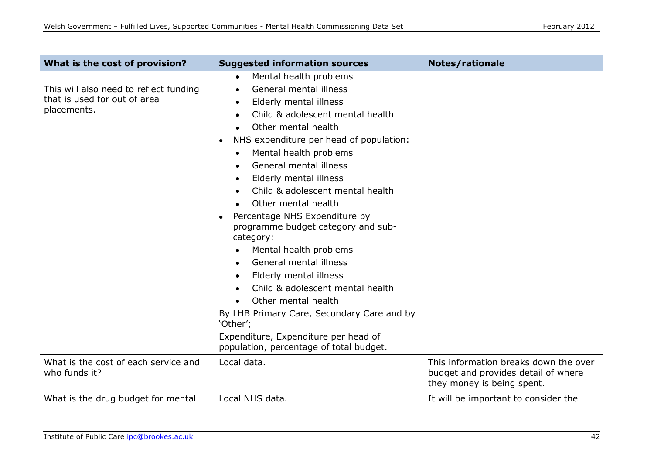| What is the cost of provision?                                                        | <b>Suggested information sources</b>                                                                                                                                                                                                                                                                                                                                                                                                                                                                                                                                                                                                                                                                                          | <b>Notes/rationale</b>                                                                                     |
|---------------------------------------------------------------------------------------|-------------------------------------------------------------------------------------------------------------------------------------------------------------------------------------------------------------------------------------------------------------------------------------------------------------------------------------------------------------------------------------------------------------------------------------------------------------------------------------------------------------------------------------------------------------------------------------------------------------------------------------------------------------------------------------------------------------------------------|------------------------------------------------------------------------------------------------------------|
| This will also need to reflect funding<br>that is used for out of area<br>placements. | Mental health problems<br>$\bullet$<br>General mental illness<br>Elderly mental illness<br>Child & adolescent mental health<br>Other mental health<br>NHS expenditure per head of population:<br>Mental health problems<br>$\bullet$<br>General mental illness<br>Elderly mental illness<br>Child & adolescent mental health<br>Other mental health<br>Percentage NHS Expenditure by<br>programme budget category and sub-<br>category:<br>Mental health problems<br>General mental illness<br>Elderly mental illness<br>Child & adolescent mental health<br>Other mental health<br>By LHB Primary Care, Secondary Care and by<br>'Other';<br>Expenditure, Expenditure per head of<br>population, percentage of total budget. |                                                                                                            |
| What is the cost of each service and<br>who funds it?                                 | Local data.                                                                                                                                                                                                                                                                                                                                                                                                                                                                                                                                                                                                                                                                                                                   | This information breaks down the over<br>budget and provides detail of where<br>they money is being spent. |
| What is the drug budget for mental                                                    | Local NHS data.                                                                                                                                                                                                                                                                                                                                                                                                                                                                                                                                                                                                                                                                                                               | It will be important to consider the                                                                       |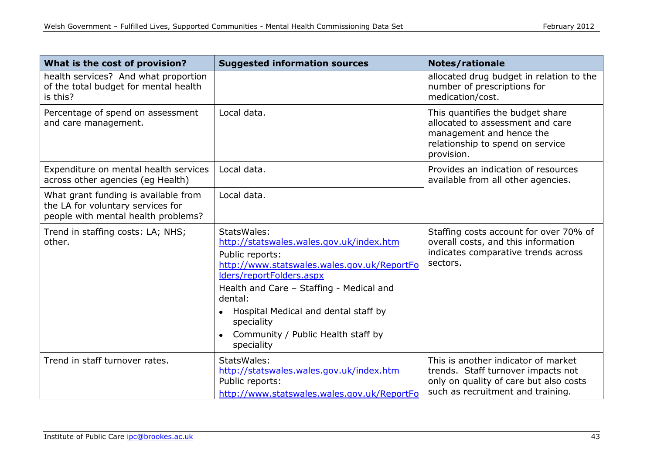| What is the cost of provision?                                                                                   | <b>Suggested information sources</b>                                                                                                                                                                                                                                                                                   | <b>Notes/rationale</b>                                                                                                                                   |
|------------------------------------------------------------------------------------------------------------------|------------------------------------------------------------------------------------------------------------------------------------------------------------------------------------------------------------------------------------------------------------------------------------------------------------------------|----------------------------------------------------------------------------------------------------------------------------------------------------------|
| health services? And what proportion<br>of the total budget for mental health<br>is this?                        |                                                                                                                                                                                                                                                                                                                        | allocated drug budget in relation to the<br>number of prescriptions for<br>medication/cost.                                                              |
| Percentage of spend on assessment<br>and care management.                                                        | Local data.                                                                                                                                                                                                                                                                                                            | This quantifies the budget share<br>allocated to assessment and care<br>management and hence the<br>relationship to spend on service<br>provision.       |
| Expenditure on mental health services<br>across other agencies (eg Health)                                       | Local data.                                                                                                                                                                                                                                                                                                            | Provides an indication of resources<br>available from all other agencies.                                                                                |
| What grant funding is available from<br>the LA for voluntary services for<br>people with mental health problems? | Local data.                                                                                                                                                                                                                                                                                                            |                                                                                                                                                          |
| Trend in staffing costs: LA; NHS;<br>other.                                                                      | StatsWales:<br>http://statswales.wales.gov.uk/index.htm<br>Public reports:<br>http://www.statswales.wales.gov.uk/ReportFo<br>Iders/reportFolders.aspx<br>Health and Care - Staffing - Medical and<br>dental:<br>Hospital Medical and dental staff by<br>speciality<br>Community / Public Health staff by<br>speciality | Staffing costs account for over 70% of<br>overall costs, and this information<br>indicates comparative trends across<br>sectors.                         |
| Trend in staff turnover rates.                                                                                   | StatsWales:<br>http://statswales.wales.gov.uk/index.htm<br>Public reports:<br>http://www.statswales.wales.gov.uk/ReportFo                                                                                                                                                                                              | This is another indicator of market<br>trends. Staff turnover impacts not<br>only on quality of care but also costs<br>such as recruitment and training. |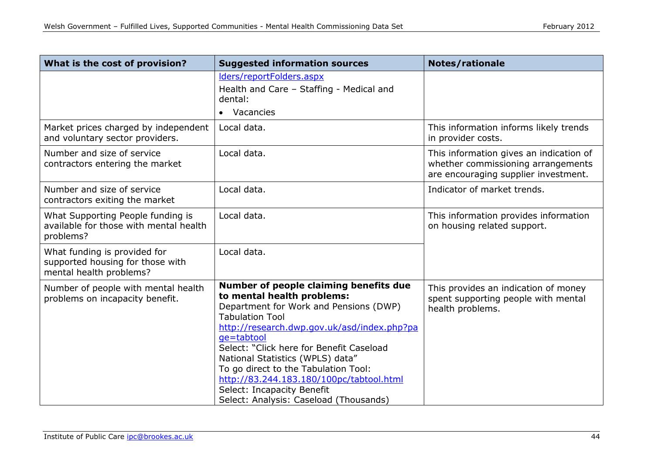| What is the cost of provision?                                                              | <b>Suggested information sources</b>                                                                                                                                                                                                                                                                                                                                                                                                              | <b>Notes/rationale</b>                                                                                                |
|---------------------------------------------------------------------------------------------|---------------------------------------------------------------------------------------------------------------------------------------------------------------------------------------------------------------------------------------------------------------------------------------------------------------------------------------------------------------------------------------------------------------------------------------------------|-----------------------------------------------------------------------------------------------------------------------|
|                                                                                             | Iders/reportFolders.aspx<br>Health and Care - Staffing - Medical and<br>dental:<br>• Vacancies                                                                                                                                                                                                                                                                                                                                                    |                                                                                                                       |
| Market prices charged by independent<br>and voluntary sector providers.                     | Local data.                                                                                                                                                                                                                                                                                                                                                                                                                                       | This information informs likely trends<br>in provider costs.                                                          |
| Number and size of service<br>contractors entering the market                               | Local data.                                                                                                                                                                                                                                                                                                                                                                                                                                       | This information gives an indication of<br>whether commissioning arrangements<br>are encouraging supplier investment. |
| Number and size of service<br>contractors exiting the market                                | Local data.                                                                                                                                                                                                                                                                                                                                                                                                                                       | Indicator of market trends.                                                                                           |
| What Supporting People funding is<br>available for those with mental health<br>problems?    | Local data.                                                                                                                                                                                                                                                                                                                                                                                                                                       | This information provides information<br>on housing related support.                                                  |
| What funding is provided for<br>supported housing for those with<br>mental health problems? | Local data.                                                                                                                                                                                                                                                                                                                                                                                                                                       |                                                                                                                       |
| Number of people with mental health<br>problems on incapacity benefit.                      | Number of people claiming benefits due<br>to mental health problems:<br>Department for Work and Pensions (DWP)<br><b>Tabulation Tool</b><br>http://research.dwp.gov.uk/asd/index.php?pa<br>qe=tabtool<br>Select: "Click here for Benefit Caseload<br>National Statistics (WPLS) data"<br>To go direct to the Tabulation Tool:<br>http://83.244.183.180/100pc/tabtool.html<br>Select: Incapacity Benefit<br>Select: Analysis: Caseload (Thousands) | This provides an indication of money<br>spent supporting people with mental<br>health problems.                       |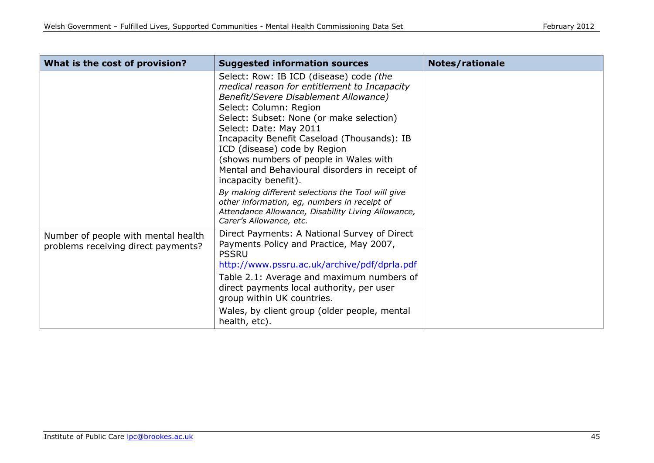| What is the cost of provision?                                             | <b>Suggested information sources</b>                                                                                                                                                                                                                                                                                                                                                                                                | Notes/rationale |
|----------------------------------------------------------------------------|-------------------------------------------------------------------------------------------------------------------------------------------------------------------------------------------------------------------------------------------------------------------------------------------------------------------------------------------------------------------------------------------------------------------------------------|-----------------|
|                                                                            | Select: Row: IB ICD (disease) code (the<br>medical reason for entitlement to Incapacity<br>Benefit/Severe Disablement Allowance)<br>Select: Column: Region<br>Select: Subset: None (or make selection)<br>Select: Date: May 2011<br>Incapacity Benefit Caseload (Thousands): IB<br>ICD (disease) code by Region<br>(shows numbers of people in Wales with<br>Mental and Behavioural disorders in receipt of<br>incapacity benefit). |                 |
|                                                                            | By making different selections the Tool will give<br>other information, eg, numbers in receipt of<br>Attendance Allowance, Disability Living Allowance,<br>Carer's Allowance, etc.                                                                                                                                                                                                                                                  |                 |
| Number of people with mental health<br>problems receiving direct payments? | Direct Payments: A National Survey of Direct<br>Payments Policy and Practice, May 2007,<br><b>PSSRU</b><br>http://www.pssru.ac.uk/archive/pdf/dprla.pdf                                                                                                                                                                                                                                                                             |                 |
|                                                                            | Table 2.1: Average and maximum numbers of<br>direct payments local authority, per user<br>group within UK countries.                                                                                                                                                                                                                                                                                                                |                 |
|                                                                            | Wales, by client group (older people, mental<br>health, etc).                                                                                                                                                                                                                                                                                                                                                                       |                 |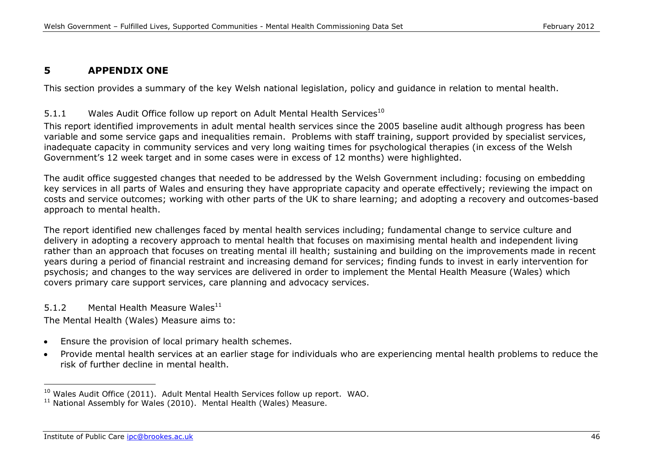# **5 APPENDIX ONE**

This section provides a summary of the key Welsh national legislation, policy and guidance in relation to mental health.

## 5.1.1 Wales Audit Office follow up report on Adult Mental Health Services<sup>10</sup>

This report identified improvements in adult mental health services since the 2005 baseline audit although progress has been variable and some service gaps and inequalities remain. Problems with staff training, support provided by specialist services, inadequate capacity in community services and very long waiting times for psychological therapies (in excess of the Welsh Government's 12 week target and in some cases were in excess of 12 months) were highlighted.

The audit office suggested changes that needed to be addressed by the Welsh Government including: focusing on embedding key services in all parts of Wales and ensuring they have appropriate capacity and operate effectively; reviewing the impact on costs and service outcomes; working with other parts of the UK to share learning; and adopting a recovery and outcomes-based approach to mental health.

The report identified new challenges faced by mental health services including; fundamental change to service culture and delivery in adopting a recovery approach to mental health that focuses on maximising mental health and independent living rather than an approach that focuses on treating mental ill health; sustaining and building on the improvements made in recent years during a period of financial restraint and increasing demand for services; finding funds to invest in early intervention for psychosis; and changes to the way services are delivered in order to implement the Mental Health Measure (Wales) which covers primary care support services, care planning and advocacy services.

## 5.1.2 Mental Health Measure Wales<sup>11</sup>

The Mental Health (Wales) Measure aims to:

- Ensure the provision of local primary health schemes.  $\bullet$
- Provide mental health services at an earlier stage for individuals who are experiencing mental health problems to reduce the  $\bullet$ risk of further decline in mental health.

 $10$  Wales Audit Office (2011). Adult Mental Health Services follow up report. WAO.

 $11$  National Assembly for Wales (2010). Mental Health (Wales) Measure.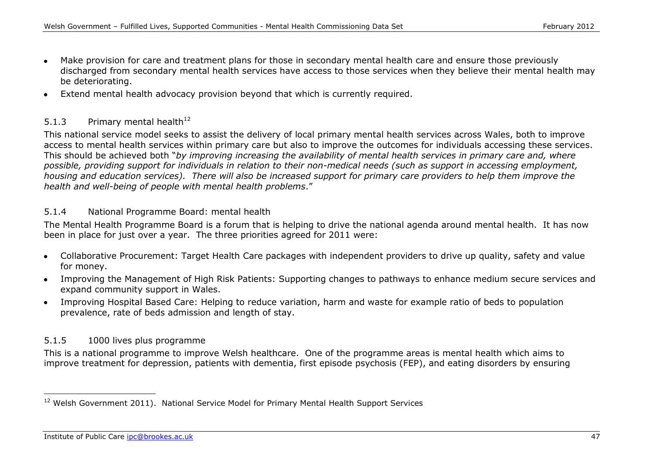- Make provision for care and treatment plans for those in secondary mental health care and ensure those previously discharged from secondary mental health services have access to those services when they believe their mental health may be deteriorating.
- Extend mental health advocacy provision beyond that which is currently required.  $\bullet$

### 5.1.3 Primary mental health $12$

This national service model seeks to assist the delivery of local primary mental health services across Wales, both to improve access to mental health services within primary care but also to improve the outcomes for individuals accessing these services. This should be achieved both "*by improving increasing the availability of mental health services in primary care and, where possible, providing support for individuals in relation to their non-medical needs (such as support in accessing employment, housing and education services). There will also be increased support for primary care providers to help them improve the health and well-being of people with mental health problems*."

#### 5.1.4 National Programme Board: mental health

The Mental Health Programme Board is a forum that is helping to drive the national agenda around mental health. It has now been in place for just over a year. The three priorities agreed for 2011 were:

- Collaborative Procurement: Target Health Care packages with independent providers to drive up quality, safety and value for money.
- Improving the Management of High Risk Patients: Supporting changes to pathways to enhance medium secure services and  $\bullet$ expand community support in Wales.
- Improving Hospital Based Care: Helping to reduce variation, harm and waste for example ratio of beds to population prevalence, rate of beds admission and length of stay.

## 5.1.5 1000 lives plus programme

This is a national programme to improve Welsh healthcare. One of the programme areas is mental health which aims to improve treatment for depression, patients with dementia, first episode psychosis (FEP), and eating disorders by ensuring

<sup>&</sup>lt;sup>12</sup> Welsh Government 2011). National Service Model for Primary Mental Health Support Services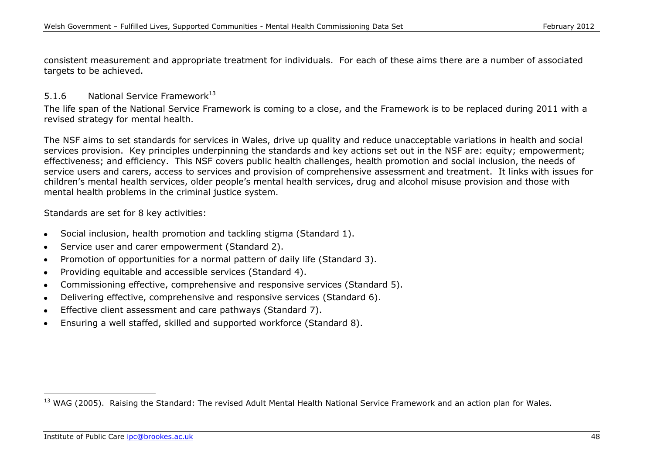consistent measurement and appropriate treatment for individuals. For each of these aims there are a number of associated targets to be achieved.

## 5.1.6 National Service Framework<sup>13</sup>

The life span of the National Service Framework is coming to a close, and the Framework is to be replaced during 2011 with a revised strategy for mental health.

The NSF aims to set standards for services in Wales, drive up quality and reduce unacceptable variations in health and social services provision. Key principles underpinning the standards and key actions set out in the NSF are: equity; empowerment; effectiveness; and efficiency. This NSF covers public health challenges, health promotion and social inclusion, the needs of service users and carers, access to services and provision of comprehensive assessment and treatment. It links with issues for children's mental health services, older people's mental health services, drug and alcohol misuse provision and those with mental health problems in the criminal justice system.

Standards are set for 8 key activities:

- Social inclusion, health promotion and tackling stigma (Standard 1).  $\bullet$
- Service user and carer empowerment (Standard 2).  $\bullet$
- Promotion of opportunities for a normal pattern of daily life (Standard 3).  $\bullet$
- Providing equitable and accessible services (Standard 4).  $\bullet$
- Commissioning effective, comprehensive and responsive services (Standard 5).
- Delivering effective, comprehensive and responsive services (Standard 6).  $\bullet$
- Effective client assessment and care pathways (Standard 7).  $\bullet$
- Ensuring a well staffed, skilled and supported workforce (Standard 8).

<sup>&</sup>lt;sup>13</sup> WAG (2005). Raising the Standard: The revised Adult Mental Health National Service Framework and an action plan for Wales.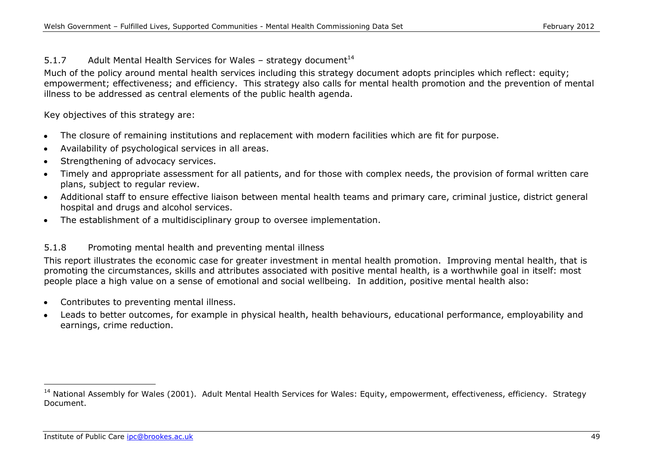## 5.1.7 Adult Mental Health Services for Wales – strategy document<sup>14</sup>

Much of the policy around mental health services including this strategy document adopts principles which reflect: equity; empowerment; effectiveness; and efficiency. This strategy also calls for mental health promotion and the prevention of mental illness to be addressed as central elements of the public health agenda.

Key objectives of this strategy are:

- The closure of remaining institutions and replacement with modern facilities which are fit for purpose.  $\bullet$
- Availability of psychological services in all areas.
- Strengthening of advocacy services.  $\bullet$
- Timely and appropriate assessment for all patients, and for those with complex needs, the provision of formal written care plans, subject to regular review.
- Additional staff to ensure effective liaison between mental health teams and primary care, criminal justice, district general hospital and drugs and alcohol services.
- The establishment of a multidisciplinary group to oversee implementation.

## 5.1.8 Promoting mental health and preventing mental illness

This report illustrates the economic case for greater investment in mental health promotion. Improving mental health, that is promoting the circumstances, skills and attributes associated with positive mental health, is a worthwhile goal in itself: most people place a high value on a sense of emotional and social wellbeing. In addition, positive mental health also:

- Contributes to preventing mental illness.  $\bullet$
- Leads to better outcomes, for example in physical health, health behaviours, educational performance, employability and earnings, crime reduction.

<sup>&</sup>lt;sup>14</sup> National Assembly for Wales (2001). Adult Mental Health Services for Wales: Equity, empowerment, effectiveness, efficiency. Strategy Document.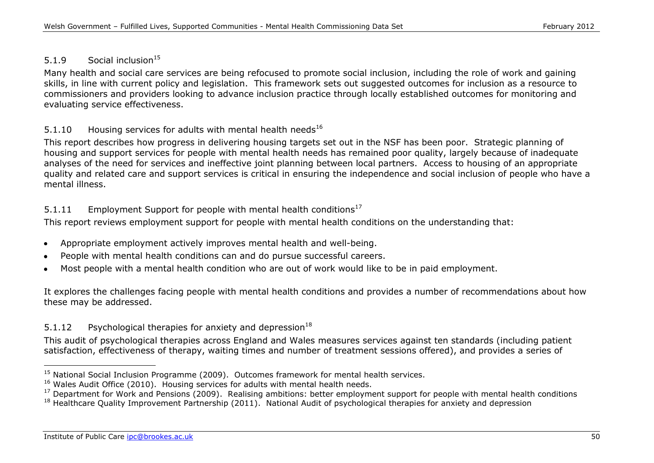# 5.1.9 Social inclusion<sup>15</sup>

Many health and social care services are being refocused to promote social inclusion, including the role of work and gaining skills, in line with current policy and legislation. This framework sets out suggested outcomes for inclusion as a resource to commissioners and providers looking to advance inclusion practice through locally established outcomes for monitoring and evaluating service effectiveness.

## 5.1.10 Housing services for adults with mental health needs<sup>16</sup>

This report describes how progress in delivering housing targets set out in the NSF has been poor. Strategic planning of housing and support services for people with mental health needs has remained poor quality, largely because of inadequate analyses of the need for services and ineffective joint planning between local partners. Access to housing of an appropriate quality and related care and support services is critical in ensuring the independence and social inclusion of people who have a mental illness.

## 5.1.11 Employment Support for people with mental health conditions<sup>17</sup>

This report reviews employment support for people with mental health conditions on the understanding that:

- Appropriate employment actively improves mental health and well-being.
- People with mental health conditions can and do pursue successful careers.
- Most people with a mental health condition who are out of work would like to be in paid employment.

It explores the challenges facing people with mental health conditions and provides a number of recommendations about how these may be addressed.

# 5.1.12 Psychological therapies for anxiety and depression<sup>18</sup>

This audit of psychological therapies across England and Wales measures services against ten standards (including patient satisfaction, effectiveness of therapy, waiting times and number of treatment sessions offered), and provides a series of

 $15$  National Social Inclusion Programme (2009). Outcomes framework for mental health services.

<sup>16</sup> Wales Audit Office (2010). Housing services for adults with mental health needs.

<sup>&</sup>lt;sup>17</sup> Department for Work and Pensions (2009). Realising ambitions: better employment support for people with mental health conditions  $18$  Healthcare Quality Improvement Partnership (2011). National Audit of psychological therapies for anxiety and depression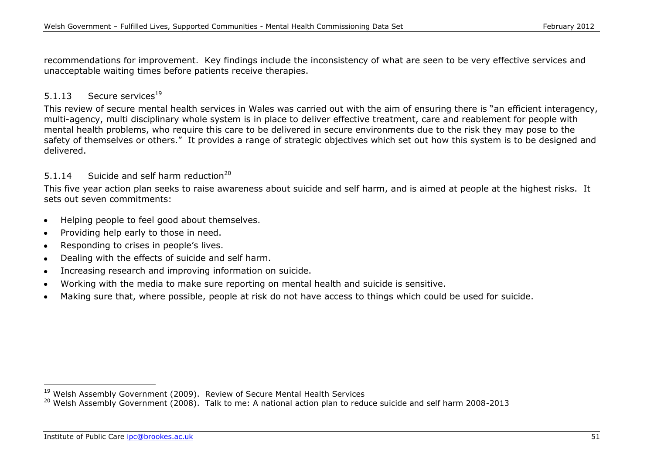recommendations for improvement. Key findings include the inconsistency of what are seen to be very effective services and unacceptable waiting times before patients receive therapies.

## 5.1.13 Secure services<sup>19</sup>

This review of secure mental health services in Wales was carried out with the aim of ensuring there is "an efficient interagency, multi-agency, multi disciplinary whole system is in place to deliver effective treatment, care and reablement for people with mental health problems, who require this care to be delivered in secure environments due to the risk they may pose to the safety of themselves or others." It provides a range of strategic objectives which set out how this system is to be designed and delivered.

### 5.1.14 Suicide and self harm reduction<sup>20</sup>

This five year action plan seeks to raise awareness about suicide and self harm, and is aimed at people at the highest risks. It sets out seven commitments:

- Helping people to feel good about themselves.
- Providing help early to those in need.  $\bullet$
- Responding to crises in people's lives.  $\bullet$
- Dealing with the effects of suicide and self harm.  $\bullet$
- Increasing research and improving information on suicide.  $\bullet$
- Working with the media to make sure reporting on mental health and suicide is sensitive.
- Making sure that, where possible, people at risk do not have access to things which could be used for suicide.

<sup>&</sup>lt;sup>19</sup> Welsh Assembly Government (2009). Review of Secure Mental Health Services

<sup>&</sup>lt;sup>20</sup> Welsh Assembly Government (2008). Talk to me: A national action plan to reduce suicide and self harm 2008-2013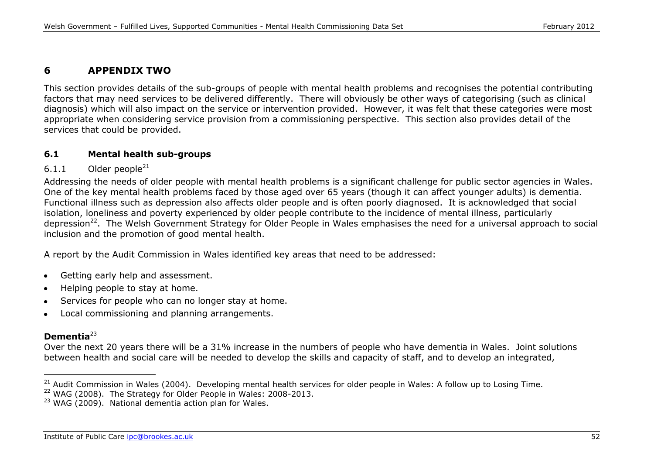# **6 APPENDIX TWO**

This section provides details of the sub-groups of people with mental health problems and recognises the potential contributing factors that may need services to be delivered differently. There will obviously be other ways of categorising (such as clinical diagnosis) which will also impact on the service or intervention provided. However, it was felt that these categories were most appropriate when considering service provision from a commissioning perspective. This section also provides detail of the services that could be provided.

### **6.1 Mental health sub-groups**

#### $6.1.1$  Older people<sup>21</sup>

Addressing the needs of older people with mental health problems is a significant challenge for public sector agencies in Wales. One of the key mental health problems faced by those aged over 65 years (though it can affect younger adults) is dementia. Functional illness such as depression also affects older people and is often poorly diagnosed. It is acknowledged that social isolation, loneliness and poverty experienced by older people contribute to the incidence of mental illness, particularly depression<sup>22</sup>. The Welsh Government Strategy for Older People in Wales emphasises the need for a universal approach to social inclusion and the promotion of good mental health.

A report by the Audit Commission in Wales identified key areas that need to be addressed:

- Getting early help and assessment.  $\bullet$
- Helping people to stay at home.  $\bullet$
- Services for people who can no longer stay at home.  $\bullet$
- Local commissioning and planning arrangements.  $\bullet$

# **Dementia**<sup>23</sup>

-

Over the next 20 years there will be a 31% increase in the numbers of people who have dementia in Wales. Joint solutions between health and social care will be needed to develop the skills and capacity of staff, and to develop an integrated,

<sup>&</sup>lt;sup>21</sup> Audit Commission in Wales (2004). Developing mental health services for older people in Wales: A follow up to Losing Time.

 $22$  WAG (2008). The Strategy for Older People in Wales: 2008-2013.

 $23$  WAG (2009). National dementia action plan for Wales.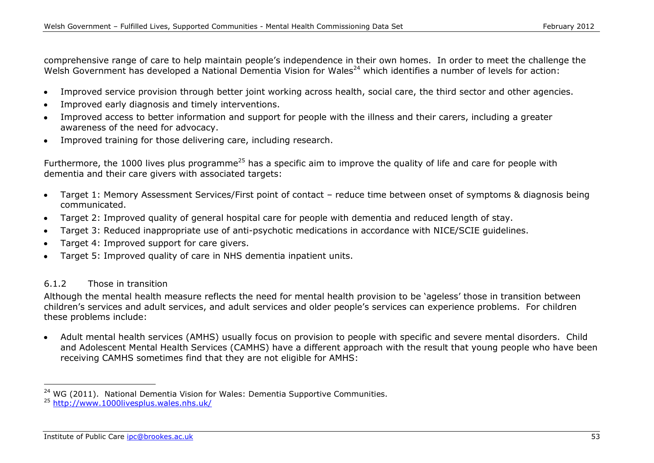comprehensive range of care to help maintain people's independence in their own homes. In order to meet the challenge the Welsh Government has developed a National Dementia Vision for Wales<sup>24</sup> which identifies a number of levels for action:

- Improved service provision through better joint working across health, social care, the third sector and other agencies.  $\bullet$
- Improved early diagnosis and timely interventions.
- Improved access to better information and support for people with the illness and their carers, including a greater awareness of the need for advocacy.
- Improved training for those delivering care, including research.  $\bullet$

Furthermore, the 1000 lives plus programme<sup>25</sup> has a specific aim to improve the quality of life and care for people with dementia and their care givers with associated targets:

- Target 1: Memory Assessment Services/First point of contact reduce time between onset of symptoms & diagnosis being  $\bullet$ communicated.
- Target 2: Improved quality of general hospital care for people with dementia and reduced length of stay.  $\bullet$
- Target 3: Reduced inappropriate use of anti-psychotic medications in accordance with NICE/SCIE guidelines.
- Target 4: Improved support for care givers.
- Target 5: Improved quality of care in NHS dementia inpatient units.

#### 6.1.2 Those in transition

-

Although the mental health measure reflects the need for mental health provision to be 'ageless' those in transition between children's services and adult services, and adult services and older people's services can experience problems. For children these problems include:

Adult mental health services (AMHS) usually focus on provision to people with specific and severe mental disorders. Child and Adolescent Mental Health Services (CAMHS) have a different approach with the result that young people who have been receiving CAMHS sometimes find that they are not eligible for AMHS:

 $24$  WG (2011). National Dementia Vision for Wales: Dementia Supportive Communities.

<sup>25</sup> <http://www.1000livesplus.wales.nhs.uk/>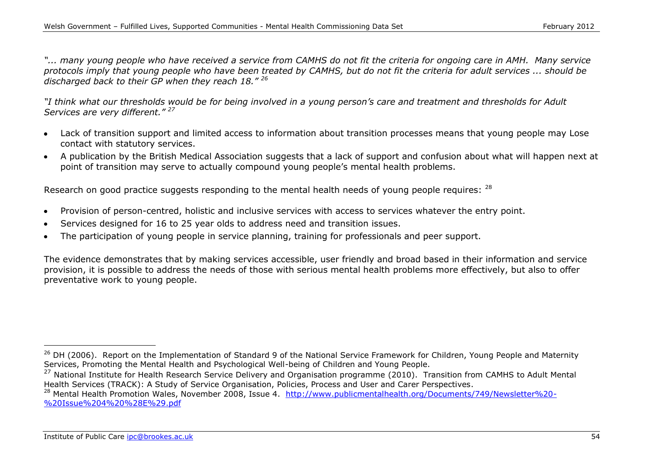*"... many young people who have received a service from CAMHS do not fit the criteria for ongoing care in AMH. Many service protocols imply that young people who have been treated by CAMHS, but do not fit the criteria for adult services ... should be discharged back to their GP when they reach 18." <sup>26</sup>*

*"I think what our thresholds would be for being involved in a young person's care and treatment and thresholds for Adult Services are very different." <sup>27</sup>*

- Lack of transition support and limited access to information about transition processes means that young people may Lose contact with statutory services.
- A publication by the British Medical Association suggests that a lack of support and confusion about what will happen next at  $\bullet$ point of transition may serve to actually compound young people's mental health problems.

Research on good practice suggests responding to the mental health needs of young people requires: <sup>28</sup>

- Provision of person-centred, holistic and inclusive services with access to services whatever the entry point.
- Services designed for 16 to 25 year olds to address need and transition issues.
- The participation of young people in service planning, training for professionals and peer support.

The evidence demonstrates that by making services accessible, user friendly and broad based in their information and service provision, it is possible to address the needs of those with serious mental health problems more effectively, but also to offer preventative work to young people.

<sup>&</sup>lt;sup>26</sup> DH (2006). Report on the Implementation of Standard 9 of the National Service Framework for Children, Young People and Maternity Services, Promoting the Mental Health and Psychological Well-being of Children and Young People.

<sup>&</sup>lt;sup>27</sup> National Institute for Health Research Service Delivery and Organisation programme (2010). Transition from CAMHS to Adult Mental Health Services (TRACK): A Study of Service Organisation, Policies, Process and User and Carer Perspectives.

<sup>&</sup>lt;sup>28</sup> Mental Health Promotion Wales, November 2008, Issue 4. [http://www.publicmentalhealth.org/Documents/749/Newsletter%20-](http://www.publicmentalhealth.org/Documents/749/Newsletter%20-%20Issue%204%20%28E%29.pdf) [%20Issue%204%20%28E%29.pdf](http://www.publicmentalhealth.org/Documents/749/Newsletter%20-%20Issue%204%20%28E%29.pdf)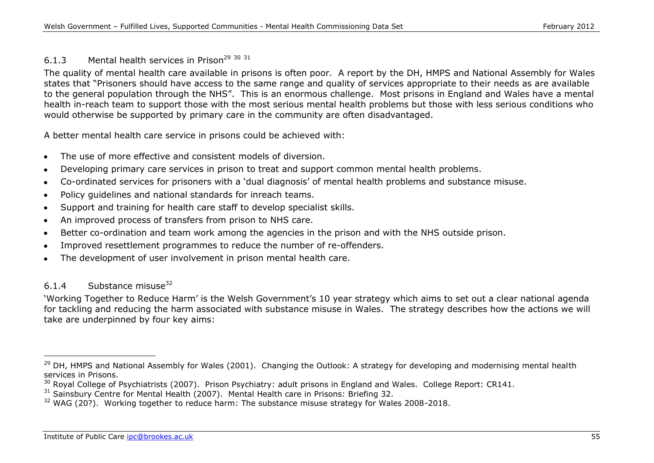### 6.1.3 Mental health services in Prison<sup>29 30 31</sup>

The quality of mental health care available in prisons is often poor. A report by the DH, HMPS and National Assembly for Wales states that "Prisoners should have access to the same range and quality of services appropriate to their needs as are available to the general population through the NHS". This is an enormous challenge. Most prisons in England and Wales have a mental health in-reach team to support those with the most serious mental health problems but those with less serious conditions who would otherwise be supported by primary care in the community are often disadvantaged.

A better mental health care service in prisons could be achieved with:

- The use of more effective and consistent models of diversion.  $\bullet$
- Developing primary care services in prison to treat and support common mental health problems.
- Co-ordinated services for prisoners with a 'dual diagnosis' of mental health problems and substance misuse.
- Policy guidelines and national standards for inreach teams.  $\bullet$
- Support and training for health care staff to develop specialist skills.  $\bullet$
- An improved process of transfers from prison to NHS care.  $\bullet$
- Better co-ordination and team work among the agencies in the prison and with the NHS outside prison.  $\bullet$
- Improved resettlement programmes to reduce the number of re-offenders.  $\bullet$
- The development of user involvement in prison mental health care.

## $6.1.4$  Substance misuse<sup>32</sup>

-

'Working Together to Reduce Harm' is the Welsh Government's 10 year strategy which aims to set out a clear national agenda for tackling and reducing the harm associated with substance misuse in Wales. The strategy describes how the actions we will take are underpinned by four key aims:

<sup>&</sup>lt;sup>29</sup> DH, HMPS and National Assembly for Wales (2001). Changing the Outlook: A strategy for developing and modernising mental health services in Prisons.

<sup>&</sup>lt;sup>30</sup> Royal College of Psychiatrists (2007). Prison Psychiatry: adult prisons in England and Wales. College Report: CR141.

<sup>&</sup>lt;sup>31</sup> Sainsbury Centre for Mental Health (2007). Mental Health care in Prisons: Briefing 32.

<sup>&</sup>lt;sup>32</sup> WAG (20?). Working together to reduce harm: The substance misuse strategy for Wales 2008-2018.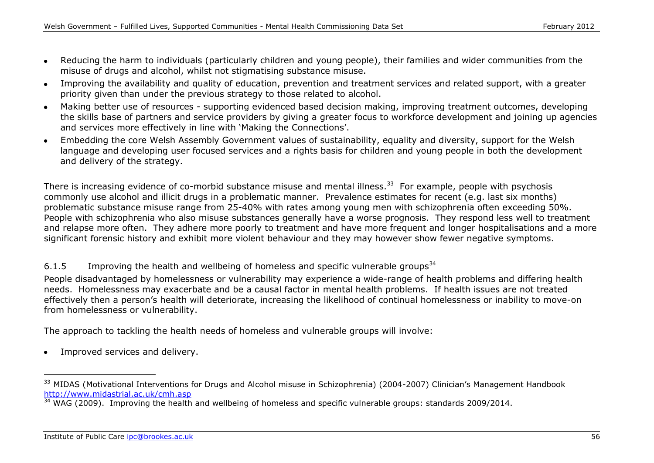- Reducing the harm to individuals (particularly children and young people), their families and wider communities from the  $\bullet$ misuse of drugs and alcohol, whilst not stigmatising substance misuse.
- Improving the availability and quality of education, prevention and treatment services and related support, with a greater  $\bullet$ priority given than under the previous strategy to those related to alcohol.
- Making better use of resources supporting evidenced based decision making, improving treatment outcomes, developing  $\bullet$ the skills base of partners and service providers by giving a greater focus to workforce development and joining up agencies and services more effectively in line with 'Making the Connections'.
- Embedding the core Welsh Assembly Government values of sustainability, equality and diversity, support for the Welsh language and developing user focused services and a rights basis for children and young people in both the development and delivery of the strategy.

There is increasing evidence of co-morbid substance misuse and mental illness.<sup>33</sup> For example, people with psychosis commonly use alcohol and illicit drugs in a problematic manner. Prevalence estimates for recent (e.g. last six months) problematic substance misuse range from 25-40% with rates among young men with schizophrenia often exceeding 50%. People with schizophrenia who also misuse substances generally have a worse prognosis. They respond less well to treatment and relapse more often. They adhere more poorly to treatment and have more frequent and longer hospitalisations and a more significant forensic history and exhibit more violent behaviour and they may however show fewer negative symptoms.

## 6.1.5 Improving the health and wellbeing of homeless and specific vulnerable groups<sup>34</sup>

People disadvantaged by homelessness or vulnerability may experience a wide-range of health problems and differing health needs. Homelessness may exacerbate and be a causal factor in mental health problems. If health issues are not treated effectively then a person's health will deteriorate, increasing the likelihood of continual homelessness or inability to move-on from homelessness or vulnerability.

The approach to tackling the health needs of homeless and vulnerable groups will involve:

Improved services and delivery.

<sup>&</sup>lt;sup>33</sup> MIDAS (Motivational Interventions for Drugs and Alcohol misuse in Schizophrenia) (2004-2007) Clinician's Management Handbook <http://www.midastrial.ac.uk/cmh.asp>

 $34$  WAG (2009). Improving the health and wellbeing of homeless and specific vulnerable groups: standards 2009/2014.